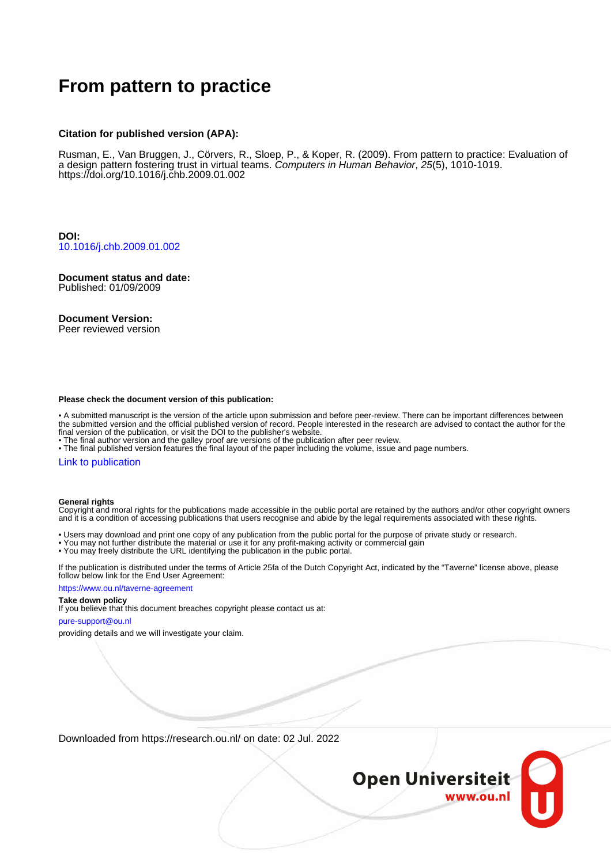# **From pattern to practice**

#### **Citation for published version (APA):**

Rusman, E., Van Bruggen, J., Cörvers, R., Sloep, P., & Koper, R. (2009). From pattern to practice: Evaluation of a design pattern fostering trust in virtual teams. Computers in Human Behavior, 25(5), 1010-1019. <https://doi.org/10.1016/j.chb.2009.01.002>

**DOI:** [10.1016/j.chb.2009.01.002](https://doi.org/10.1016/j.chb.2009.01.002)

**Document status and date:**

Published: 01/09/2009

#### **Document Version:**

Peer reviewed version

#### **Please check the document version of this publication:**

• A submitted manuscript is the version of the article upon submission and before peer-review. There can be important differences between the submitted version and the official published version of record. People interested in the research are advised to contact the author for the final version of the publication, or visit the DOI to the publisher's website.

• The final author version and the galley proof are versions of the publication after peer review.

• The final published version features the final layout of the paper including the volume, issue and page numbers.

#### [Link to publication](https://research.ou.nl/en/publications/64aff111-74af-4c4f-aee9-5e39a97f65f9)

#### **General rights**

Copyright and moral rights for the publications made accessible in the public portal are retained by the authors and/or other copyright owners and it is a condition of accessing publications that users recognise and abide by the legal requirements associated with these rights.

- Users may download and print one copy of any publication from the public portal for the purpose of private study or research.
- You may not further distribute the material or use it for any profit-making activity or commercial gain
- You may freely distribute the URL identifying the publication in the public portal.

If the publication is distributed under the terms of Article 25fa of the Dutch Copyright Act, indicated by the "Taverne" license above, please follow below link for the End User Agreement:

#### https://www.ou.nl/taverne-agreement

### **Take down policy**

If you believe that this document breaches copyright please contact us at:

#### pure-support@ou.nl

providing details and we will investigate your claim.

Downloaded from https://research.ou.nl/ on date: 02 Jul. 2022

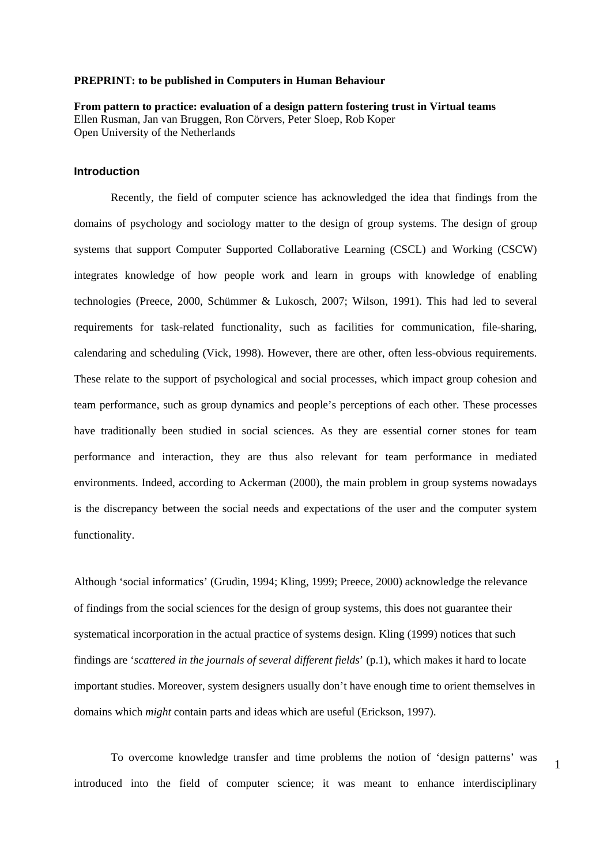#### **PREPRINT: to be published in Computers in Human Behaviour**

**From pattern to practice: evaluation of a design pattern fostering trust in Virtual teams**  Ellen Rusman, Jan van Bruggen, Ron Cörvers, Peter Sloep, Rob Koper Open University of the Netherlands

### **Introduction**

Recently, the field of computer science has acknowledged the idea that findings from the domains of psychology and sociology matter to the design of group systems. The design of group systems that support Computer Supported Collaborative Learning (CSCL) and Working (CSCW) integrates knowledge of how people work and learn in groups with knowledge of enabling technologies (Preece, 2000, Schümmer & Lukosch, 2007; Wilson, 1991). This had led to several requirements for task-related functionality, such as facilities for communication, file-sharing, calendaring and scheduling (Vick, 1998). However, there are other, often less-obvious requirements. These relate to the support of psychological and social processes, which impact group cohesion and team performance, such as group dynamics and people's perceptions of each other. These processes have traditionally been studied in social sciences. As they are essential corner stones for team performance and interaction, they are thus also relevant for team performance in mediated environments. Indeed, according to Ackerman (2000), the main problem in group systems nowadays is the discrepancy between the social needs and expectations of the user and the computer system functionality.

Although 'social informatics' (Grudin, 1994; Kling, 1999; Preece, 2000) acknowledge the relevance of findings from the social sciences for the design of group systems, this does not guarantee their systematical incorporation in the actual practice of systems design. Kling (1999) notices that such findings are '*scattered in the journals of several different fields*' (p.1), which makes it hard to locate important studies. Moreover, system designers usually don't have enough time to orient themselves in domains which *might* contain parts and ideas which are useful (Erickson, 1997).

To overcome knowledge transfer and time problems the notion of 'design patterns' was introduced into the field of computer science; it was meant to enhance interdisciplinary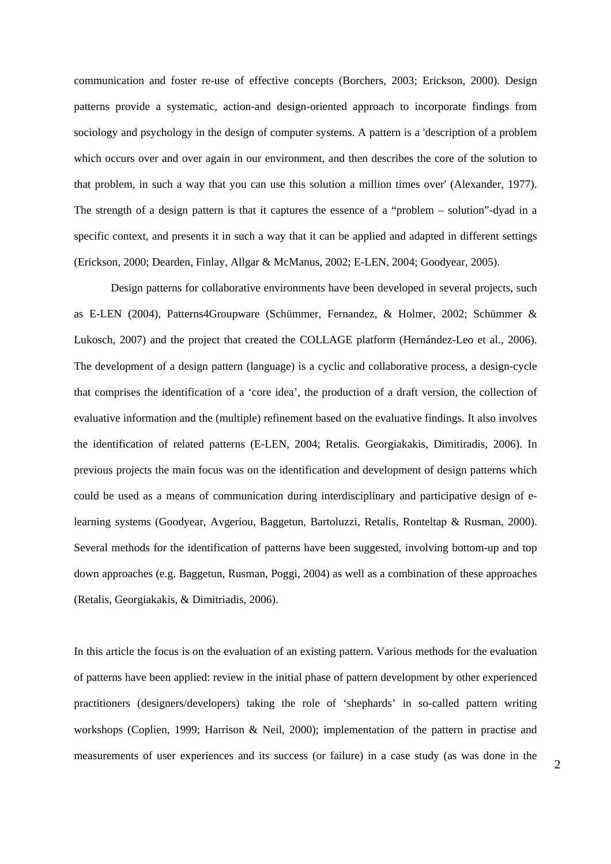communication and foster re-use of effective concepts (Borchers, 2003; Erickson, 2000). Design patterns provide a systematic, action-and design-oriented approach to incorporate findings from sociology and psychology in the design of computer systems. A pattern is a 'description of a problem which occurs over and over again in our environment, and then describes the core of the solution to that problem, in such a way that you can use this solution a million times over' (Alexander, 1977). The strength of a design pattern is that it captures the essence of a "problem – solution"-dyad in a specific context, and presents it in such a way that it can be applied and adapted in different settings (Erickson, 2000; Dearden, Finlay, Allgar & McManus, 2002; E-LEN, 2004; Goodyear, 2005).

Design patterns for collaborative environments have been developed in several projects, such as E-LEN (2004), Patterns4Groupware (Schümmer, Fernandez, & Holmer, 2002; Schümmer & Lukosch, 2007) and the project that created the COLLAGE platform (Hernández-Leo et al., 2006). The development of a design pattern (language) is a cyclic and collaborative process, a design-cycle that comprises the identification of a 'core idea', the production of a draft version, the collection of evaluative information and the (multiple) refinement based on the evaluative findings. It also involves the identification of related patterns (E-LEN, 2004; Retalis. Georgiakakis, Dimitiradis, 2006). In previous projects the main focus was on the identification and development of design patterns which could be used as a means of communication during interdisciplinary and participative design of elearning systems (Goodyear, Avgeriou, Baggetun, Bartoluzzi, Retalis, Ronteltap & Rusman, 2000). Several methods for the identification of patterns have been suggested, involving bottom-up and top down approaches (e.g. Baggetun, Rusman, Poggi, 2004) as well as a combination of these approaches (Retalis, Georgiakakis, & Dimitriadis, 2006).

In this article the focus is on the evaluation of an existing pattern. Various methods for the evaluation of patterns have been applied: review in the initial phase of pattern development by other experienced practitioners (designers/developers) taking the role of 'shephards' in so-called pattern writing workshops (Coplien, 1999; Harrison & Neil, 2000); implementation of the pattern in practise and measurements of user experiences and its success (or failure) in a case study (as was done in the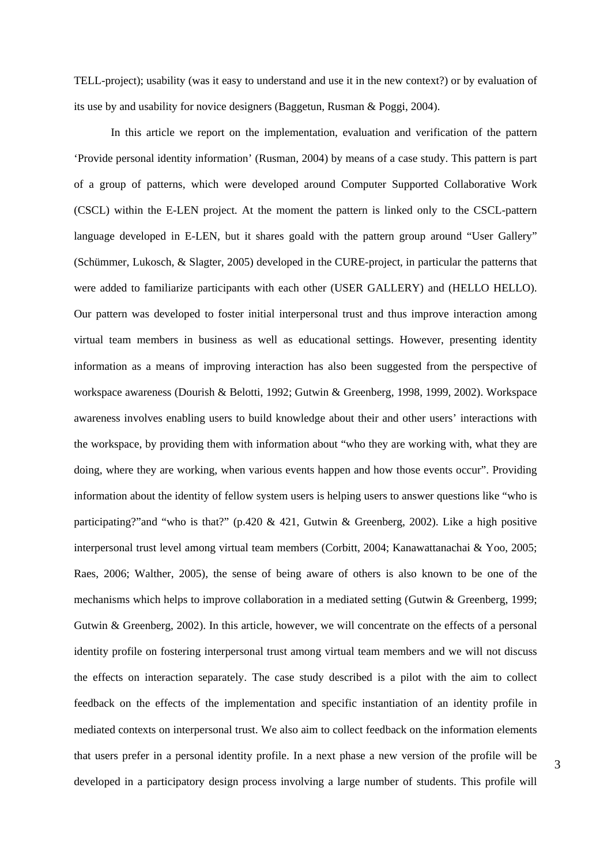TELL-project); usability (was it easy to understand and use it in the new context?) or by evaluation of its use by and usability for novice designers (Baggetun, Rusman & Poggi, 2004).

In this article we report on the implementation, evaluation and verification of the pattern 'Provide personal identity information' (Rusman, 2004) by means of a case study. This pattern is part of a group of patterns, which were developed around Computer Supported Collaborative Work (CSCL) within the E-LEN project. At the moment the pattern is linked only to the CSCL-pattern language developed in E-LEN, but it shares goald with the pattern group around "User Gallery" (Schümmer, Lukosch, & Slagter, 2005) developed in the CURE-project, in particular the patterns that were added to familiarize participants with each other (USER GALLERY) and (HELLO HELLO). Our pattern was developed to foster initial interpersonal trust and thus improve interaction among virtual team members in business as well as educational settings. However, presenting identity information as a means of improving interaction has also been suggested from the perspective of workspace awareness (Dourish & Belotti, 1992; Gutwin & Greenberg, 1998, 1999, 2002). Workspace awareness involves enabling users to build knowledge about their and other users' interactions with the workspace, by providing them with information about "who they are working with, what they are doing, where they are working, when various events happen and how those events occur". Providing information about the identity of fellow system users is helping users to answer questions like "who is participating?"and "who is that?" (p.420 & 421, Gutwin & Greenberg, 2002). Like a high positive interpersonal trust level among virtual team members (Corbitt, 2004; Kanawattanachai & Yoo, 2005; Raes, 2006; Walther, 2005), the sense of being aware of others is also known to be one of the mechanisms which helps to improve collaboration in a mediated setting (Gutwin & Greenberg, 1999; Gutwin & Greenberg, 2002). In this article, however, we will concentrate on the effects of a personal identity profile on fostering interpersonal trust among virtual team members and we will not discuss the effects on interaction separately. The case study described is a pilot with the aim to collect feedback on the effects of the implementation and specific instantiation of an identity profile in mediated contexts on interpersonal trust. We also aim to collect feedback on the information elements that users prefer in a personal identity profile. In a next phase a new version of the profile will be developed in a participatory design process involving a large number of students. This profile will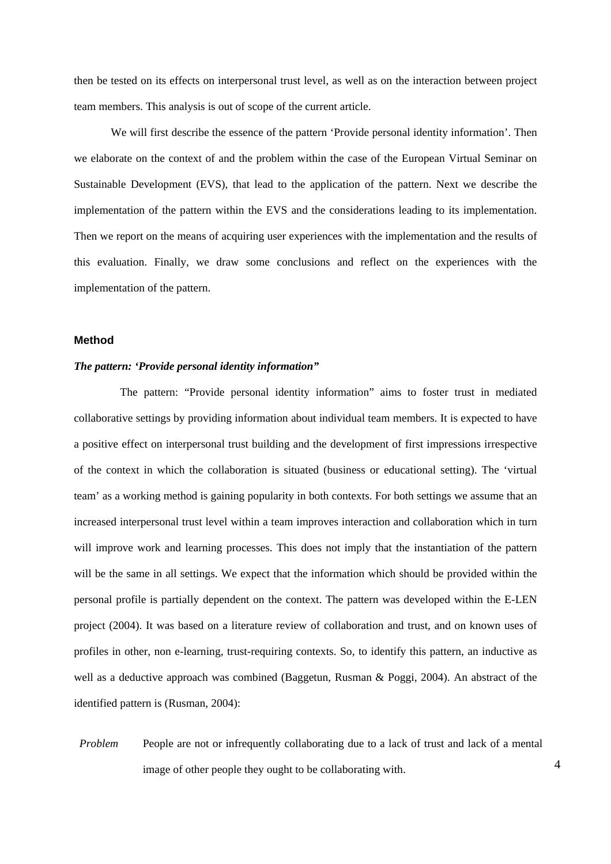then be tested on its effects on interpersonal trust level, as well as on the interaction between project team members. This analysis is out of scope of the current article.

We will first describe the essence of the pattern 'Provide personal identity information'. Then we elaborate on the context of and the problem within the case of the European Virtual Seminar on Sustainable Development (EVS), that lead to the application of the pattern. Next we describe the implementation of the pattern within the EVS and the considerations leading to its implementation. Then we report on the means of acquiring user experiences with the implementation and the results of this evaluation. Finally, we draw some conclusions and reflect on the experiences with the implementation of the pattern.

#### **Method**

### *The pattern: 'Provide personal identity information"*

The pattern: "Provide personal identity information" aims to foster trust in mediated collaborative settings by providing information about individual team members. It is expected to have a positive effect on interpersonal trust building and the development of first impressions irrespective of the context in which the collaboration is situated (business or educational setting). The 'virtual team' as a working method is gaining popularity in both contexts. For both settings we assume that an increased interpersonal trust level within a team improves interaction and collaboration which in turn will improve work and learning processes. This does not imply that the instantiation of the pattern will be the same in all settings. We expect that the information which should be provided within the personal profile is partially dependent on the context. The pattern was developed within the E-LEN project (2004). It was based on a literature review of collaboration and trust, and on known uses of profiles in other, non e-learning, trust-requiring contexts. So, to identify this pattern, an inductive as well as a deductive approach was combined (Baggetun, Rusman & Poggi, 2004). An abstract of the identified pattern is (Rusman, 2004):

# *Problem* People are not or infrequently collaborating due to a lack of trust and lack of a mental image of other people they ought to be collaborating with.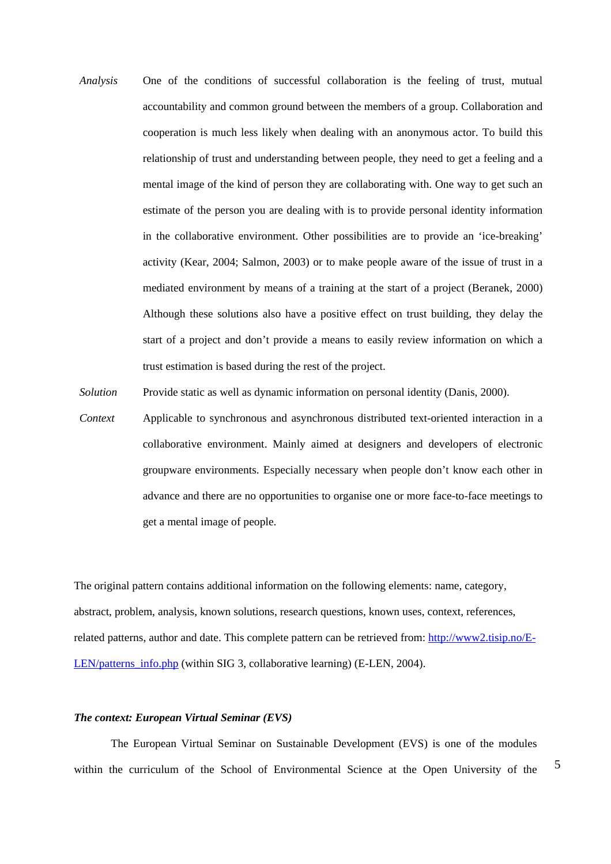*Analysis* One of the conditions of successful collaboration is the feeling of trust, mutual accountability and common ground between the members of a group. Collaboration and cooperation is much less likely when dealing with an anonymous actor. To build this relationship of trust and understanding between people, they need to get a feeling and a mental image of the kind of person they are collaborating with. One way to get such an estimate of the person you are dealing with is to provide personal identity information in the collaborative environment. Other possibilities are to provide an 'ice-breaking' activity (Kear, 2004; Salmon, 2003) or to make people aware of the issue of trust in a mediated environment by means of a training at the start of a project (Beranek, 2000) Although these solutions also have a positive effect on trust building, they delay the start of a project and don't provide a means to easily review information on which a trust estimation is based during the rest of the project.

*Solution* Provide static as well as dynamic information on personal identity (Danis, 2000).

*Context* Applicable to synchronous and asynchronous distributed text-oriented interaction in a collaborative environment. Mainly aimed at designers and developers of electronic groupware environments. Especially necessary when people don't know each other in advance and there are no opportunities to organise one or more face-to-face meetings to get a mental image of people.

The original pattern contains additional information on the following elements: name, category, abstract, problem, analysis, known solutions, research questions, known uses, context, references, related patterns, author and date. This complete pattern can be retrieved from: http://www2.tisip.no/E-LEN/patterns\_info.php (within SIG 3, collaborative learning) (E-LEN, 2004).

### *The context: European Virtual Seminar (EVS)*

The European Virtual Seminar on Sustainable Development (EVS) is one of the modules within the curriculum of the School of Environmental Science at the Open University of the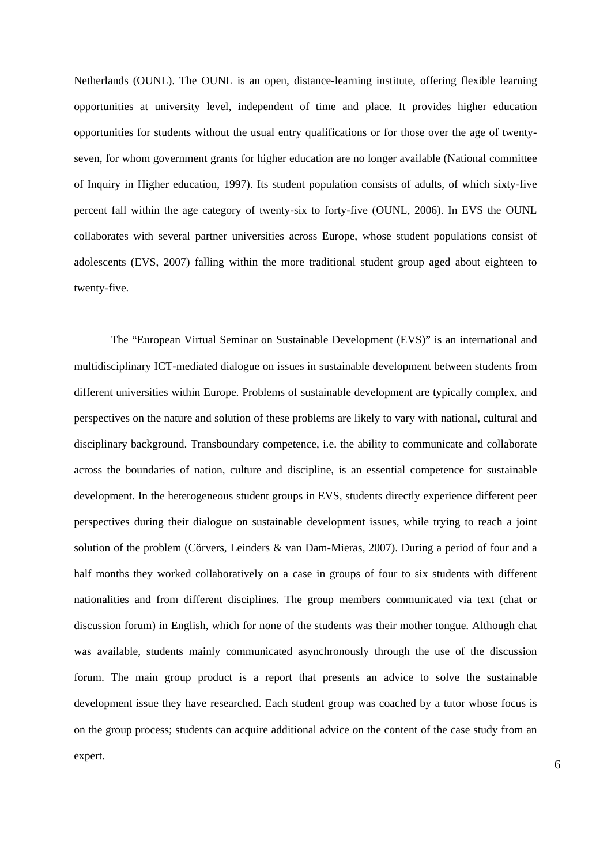Netherlands (OUNL). The OUNL is an open, distance-learning institute, offering flexible learning opportunities at university level, independent of time and place. It provides higher education opportunities for students without the usual entry qualifications or for those over the age of twentyseven, for whom government grants for higher education are no longer available (National committee of Inquiry in Higher education, 1997). Its student population consists of adults, of which sixty-five percent fall within the age category of twenty-six to forty-five (OUNL, 2006). In EVS the OUNL collaborates with several partner universities across Europe, whose student populations consist of adolescents (EVS, 2007) falling within the more traditional student group aged about eighteen to twenty-five.

The "European Virtual Seminar on Sustainable Development (EVS)" is an international and multidisciplinary ICT-mediated dialogue on issues in sustainable development between students from different universities within Europe. Problems of sustainable development are typically complex, and perspectives on the nature and solution of these problems are likely to vary with national, cultural and disciplinary background. Transboundary competence, i.e. the ability to communicate and collaborate across the boundaries of nation, culture and discipline, is an essential competence for sustainable development. In the heterogeneous student groups in EVS, students directly experience different peer perspectives during their dialogue on sustainable development issues, while trying to reach a joint solution of the problem (Cörvers, Leinders & van Dam-Mieras, 2007). During a period of four and a half months they worked collaboratively on a case in groups of four to six students with different nationalities and from different disciplines. The group members communicated via text (chat or discussion forum) in English, which for none of the students was their mother tongue. Although chat was available, students mainly communicated asynchronously through the use of the discussion forum. The main group product is a report that presents an advice to solve the sustainable development issue they have researched. Each student group was coached by a tutor whose focus is on the group process; students can acquire additional advice on the content of the case study from an expert.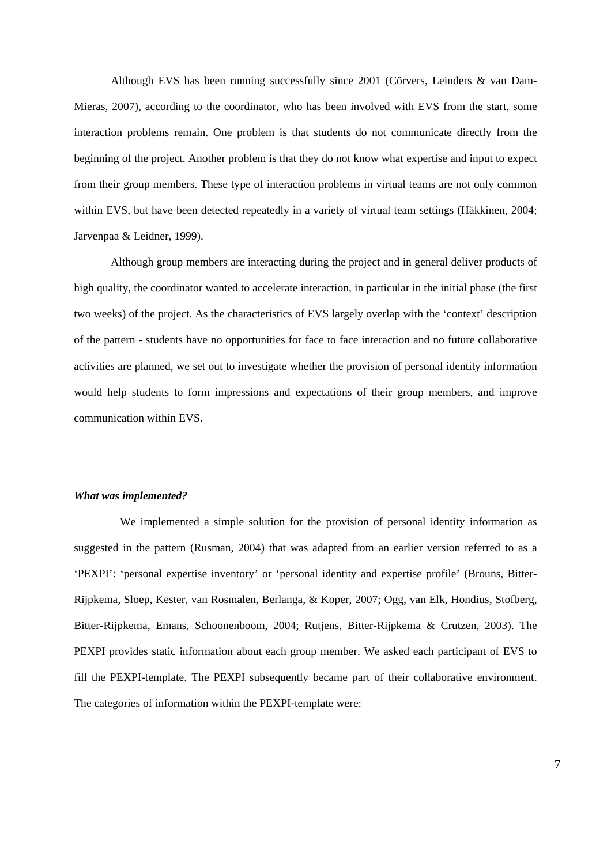Although EVS has been running successfully since 2001 (Cörvers, Leinders & van Dam-Mieras, 2007), according to the coordinator, who has been involved with EVS from the start, some interaction problems remain. One problem is that students do not communicate directly from the beginning of the project. Another problem is that they do not know what expertise and input to expect from their group members. These type of interaction problems in virtual teams are not only common within EVS, but have been detected repeatedly in a variety of virtual team settings (Häkkinen, 2004; Jarvenpaa & Leidner, 1999).

Although group members are interacting during the project and in general deliver products of high quality, the coordinator wanted to accelerate interaction, in particular in the initial phase (the first two weeks) of the project. As the characteristics of EVS largely overlap with the 'context' description of the pattern - students have no opportunities for face to face interaction and no future collaborative activities are planned, we set out to investigate whether the provision of personal identity information would help students to form impressions and expectations of their group members, and improve communication within EVS.

#### *What was implemented?*

We implemented a simple solution for the provision of personal identity information as suggested in the pattern (Rusman, 2004) that was adapted from an earlier version referred to as a 'PEXPI': 'personal expertise inventory' or 'personal identity and expertise profile' (Brouns, Bitter-Rijpkema, Sloep, Kester, van Rosmalen, Berlanga, & Koper, 2007; Ogg, van Elk, Hondius, Stofberg, Bitter-Rijpkema, Emans, Schoonenboom, 2004; Rutjens, Bitter-Rijpkema & Crutzen, 2003). The PEXPI provides static information about each group member. We asked each participant of EVS to fill the PEXPI-template. The PEXPI subsequently became part of their collaborative environment. The categories of information within the PEXPI-template were: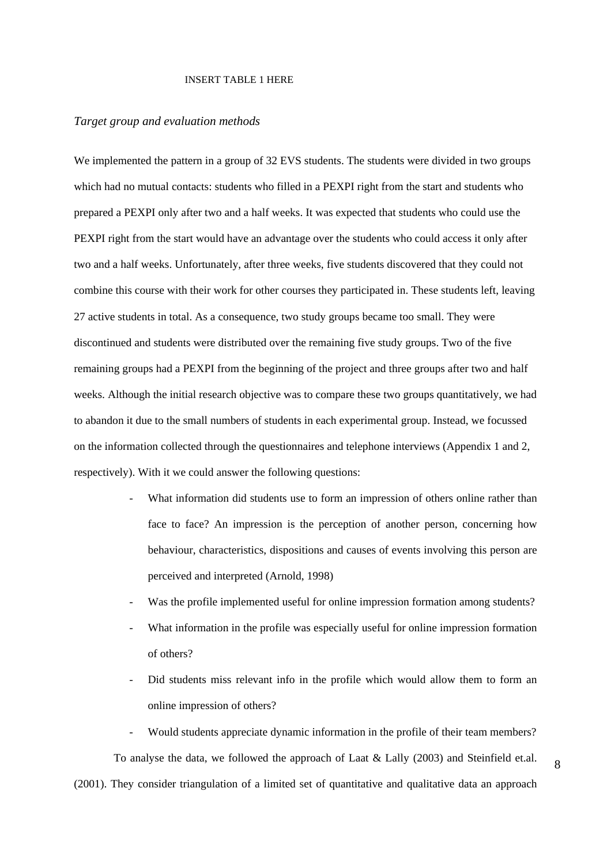#### INSERT TABLE 1 HERE

### *Target group and evaluation methods*

We implemented the pattern in a group of 32 EVS students. The students were divided in two groups which had no mutual contacts: students who filled in a PEXPI right from the start and students who prepared a PEXPI only after two and a half weeks. It was expected that students who could use the PEXPI right from the start would have an advantage over the students who could access it only after two and a half weeks. Unfortunately, after three weeks, five students discovered that they could not combine this course with their work for other courses they participated in. These students left, leaving 27 active students in total. As a consequence, two study groups became too small. They were discontinued and students were distributed over the remaining five study groups. Two of the five remaining groups had a PEXPI from the beginning of the project and three groups after two and half weeks. Although the initial research objective was to compare these two groups quantitatively, we had to abandon it due to the small numbers of students in each experimental group. Instead, we focussed on the information collected through the questionnaires and telephone interviews (Appendix 1 and 2, respectively). With it we could answer the following questions:

- What information did students use to form an impression of others online rather than face to face? An impression is the perception of another person, concerning how behaviour, characteristics, dispositions and causes of events involving this person are perceived and interpreted (Arnold, 1998)
- Was the profile implemented useful for online impression formation among students?
- What information in the profile was especially useful for online impression formation of others?
- Did students miss relevant info in the profile which would allow them to form an online impression of others?
- Would students appreciate dynamic information in the profile of their team members?

 To analyse the data, we followed the approach of Laat & Lally (2003) and Steinfield et.al. (2001). They consider triangulation of a limited set of quantitative and qualitative data an approach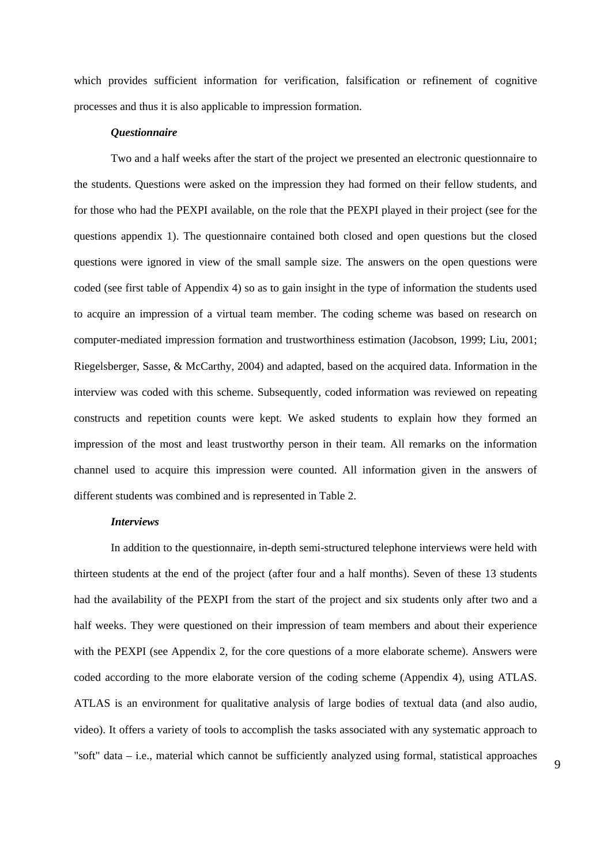which provides sufficient information for verification, falsification or refinement of cognitive processes and thus it is also applicable to impression formation.

#### *Questionnaire*

Two and a half weeks after the start of the project we presented an electronic questionnaire to the students. Questions were asked on the impression they had formed on their fellow students, and for those who had the PEXPI available, on the role that the PEXPI played in their project (see for the questions appendix 1). The questionnaire contained both closed and open questions but the closed questions were ignored in view of the small sample size. The answers on the open questions were coded (see first table of Appendix 4) so as to gain insight in the type of information the students used to acquire an impression of a virtual team member. The coding scheme was based on research on computer-mediated impression formation and trustworthiness estimation (Jacobson, 1999; Liu, 2001; Riegelsberger, Sasse, & McCarthy, 2004) and adapted, based on the acquired data. Information in the interview was coded with this scheme. Subsequently, coded information was reviewed on repeating constructs and repetition counts were kept. We asked students to explain how they formed an impression of the most and least trustworthy person in their team. All remarks on the information channel used to acquire this impression were counted. All information given in the answers of different students was combined and is represented in Table 2.

### *Interviews*

In addition to the questionnaire, in-depth semi-structured telephone interviews were held with thirteen students at the end of the project (after four and a half months). Seven of these 13 students had the availability of the PEXPI from the start of the project and six students only after two and a half weeks. They were questioned on their impression of team members and about their experience with the PEXPI (see Appendix 2, for the core questions of a more elaborate scheme). Answers were coded according to the more elaborate version of the coding scheme (Appendix 4), using ATLAS. ATLAS is an environment for qualitative analysis of large bodies of textual data (and also audio, video). It offers a variety of tools to accomplish the tasks associated with any systematic approach to "soft" data – i.e., material which cannot be sufficiently analyzed using formal, statistical approaches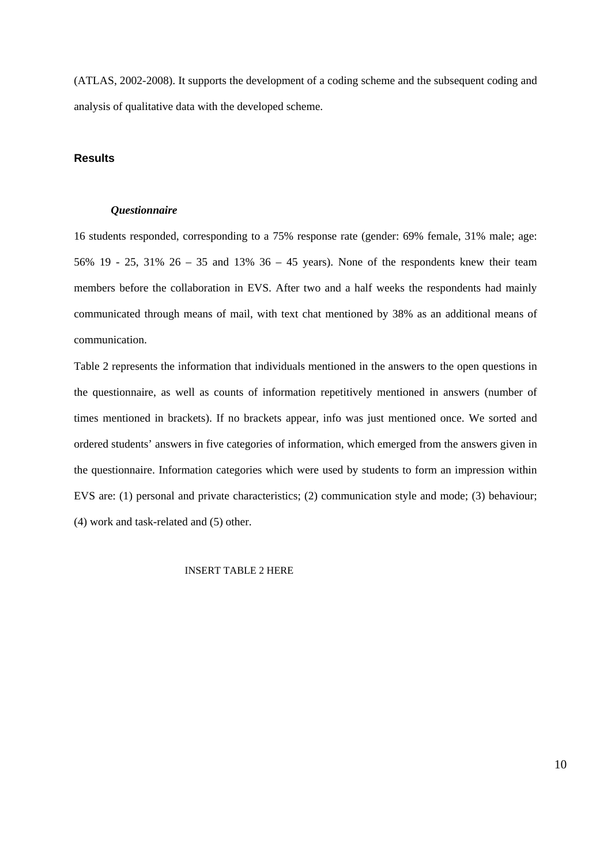(ATLAS, 2002-2008). It supports the development of a coding scheme and the subsequent coding and analysis of qualitative data with the developed scheme.

### **Results**

#### *Questionnaire*

16 students responded, corresponding to a 75% response rate (gender: 69% female, 31% male; age: 56% 19 - 25, 31% 26 – 35 and 13% 36 – 45 years). None of the respondents knew their team members before the collaboration in EVS. After two and a half weeks the respondents had mainly communicated through means of mail, with text chat mentioned by 38% as an additional means of communication.

Table 2 represents the information that individuals mentioned in the answers to the open questions in the questionnaire, as well as counts of information repetitively mentioned in answers (number of times mentioned in brackets). If no brackets appear, info was just mentioned once. We sorted and ordered students' answers in five categories of information, which emerged from the answers given in the questionnaire. Information categories which were used by students to form an impression within EVS are: (1) personal and private characteristics; (2) communication style and mode; (3) behaviour; (4) work and task-related and (5) other.

#### INSERT TABLE 2 HERE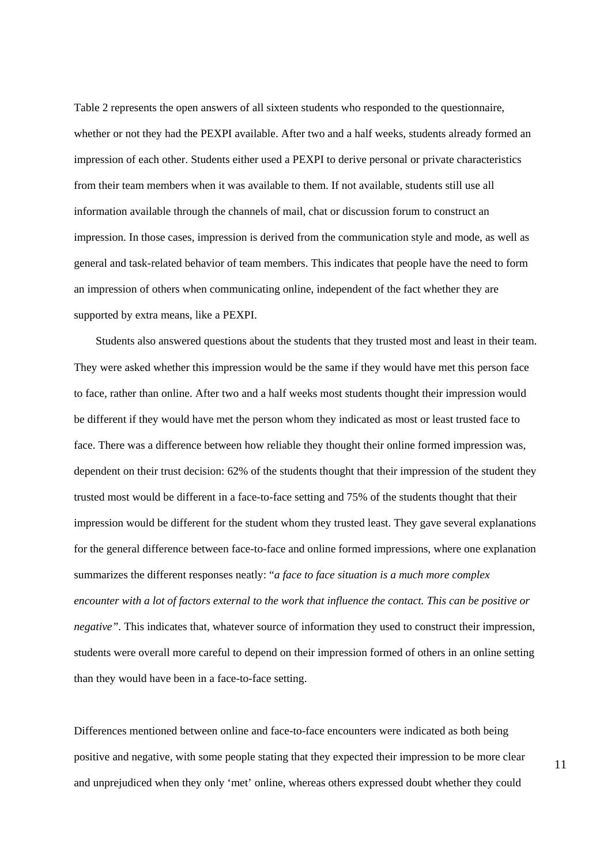Table 2 represents the open answers of all sixteen students who responded to the questionnaire, whether or not they had the PEXPI available. After two and a half weeks, students already formed an impression of each other. Students either used a PEXPI to derive personal or private characteristics from their team members when it was available to them. If not available, students still use all information available through the channels of mail, chat or discussion forum to construct an impression. In those cases, impression is derived from the communication style and mode, as well as general and task-related behavior of team members. This indicates that people have the need to form an impression of others when communicating online, independent of the fact whether they are supported by extra means, like a PEXPI.

Students also answered questions about the students that they trusted most and least in their team. They were asked whether this impression would be the same if they would have met this person face to face, rather than online. After two and a half weeks most students thought their impression would be different if they would have met the person whom they indicated as most or least trusted face to face. There was a difference between how reliable they thought their online formed impression was, dependent on their trust decision: 62% of the students thought that their impression of the student they trusted most would be different in a face-to-face setting and 75% of the students thought that their impression would be different for the student whom they trusted least. They gave several explanations for the general difference between face-to-face and online formed impressions, where one explanation summarizes the different responses neatly: "*a face to face situation is a much more complex encounter with a lot of factors external to the work that influence the contact. This can be positive or negative*". This indicates that, whatever source of information they used to construct their impression, students were overall more careful to depend on their impression formed of others in an online setting than they would have been in a face-to-face setting.

Differences mentioned between online and face-to-face encounters were indicated as both being positive and negative, with some people stating that they expected their impression to be more clear and unprejudiced when they only 'met' online, whereas others expressed doubt whether they could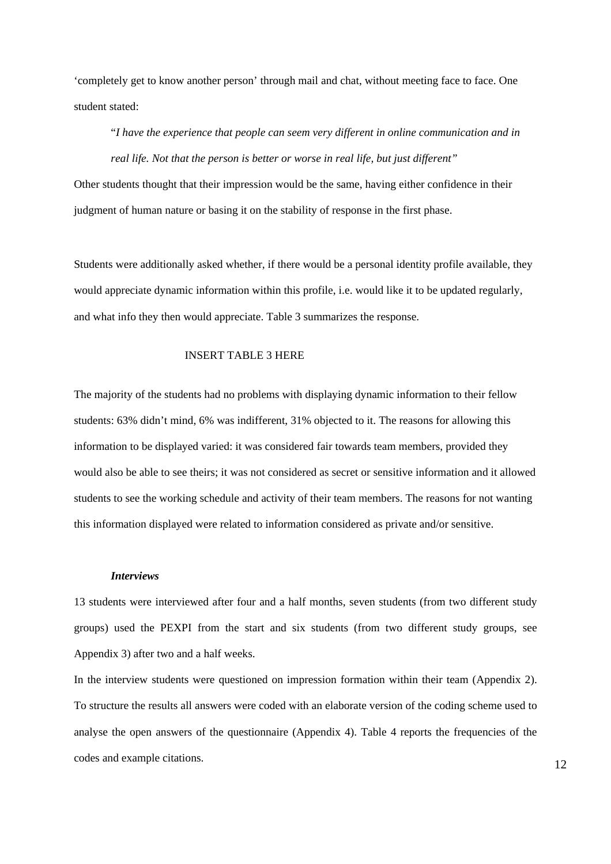'completely get to know another person' through mail and chat, without meeting face to face. One student stated:

"*I have the experience that people can seem very different in online communication and in real life. Not that the person is better or worse in real life, but just different"* 

Other students thought that their impression would be the same, having either confidence in their judgment of human nature or basing it on the stability of response in the first phase.

Students were additionally asked whether, if there would be a personal identity profile available, they would appreciate dynamic information within this profile, i.e. would like it to be updated regularly, and what info they then would appreciate. Table 3 summarizes the response.

### INSERT TABLE 3 HERE

The majority of the students had no problems with displaying dynamic information to their fellow students: 63% didn't mind, 6% was indifferent, 31% objected to it. The reasons for allowing this information to be displayed varied: it was considered fair towards team members, provided they would also be able to see theirs; it was not considered as secret or sensitive information and it allowed students to see the working schedule and activity of their team members. The reasons for not wanting this information displayed were related to information considered as private and/or sensitive.

#### *Interviews*

13 students were interviewed after four and a half months, seven students (from two different study groups) used the PEXPI from the start and six students (from two different study groups, see Appendix 3) after two and a half weeks.

In the interview students were questioned on impression formation within their team (Appendix 2). To structure the results all answers were coded with an elaborate version of the coding scheme used to analyse the open answers of the questionnaire (Appendix 4). Table 4 reports the frequencies of the codes and example citations.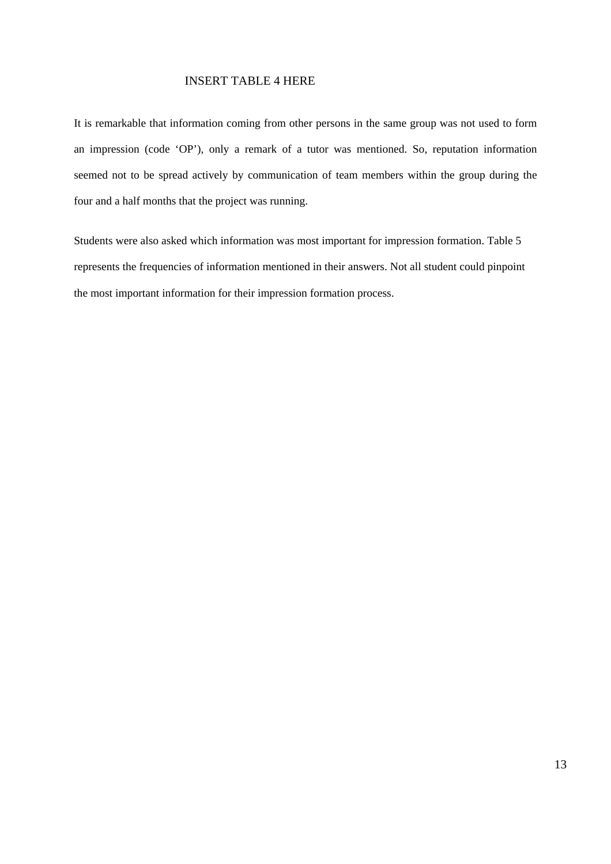### INSERT TABLE 4 HERE

It is remarkable that information coming from other persons in the same group was not used to form an impression (code 'OP'), only a remark of a tutor was mentioned. So, reputation information seemed not to be spread actively by communication of team members within the group during the four and a half months that the project was running.

Students were also asked which information was most important for impression formation. Table 5 represents the frequencies of information mentioned in their answers. Not all student could pinpoint the most important information for their impression formation process.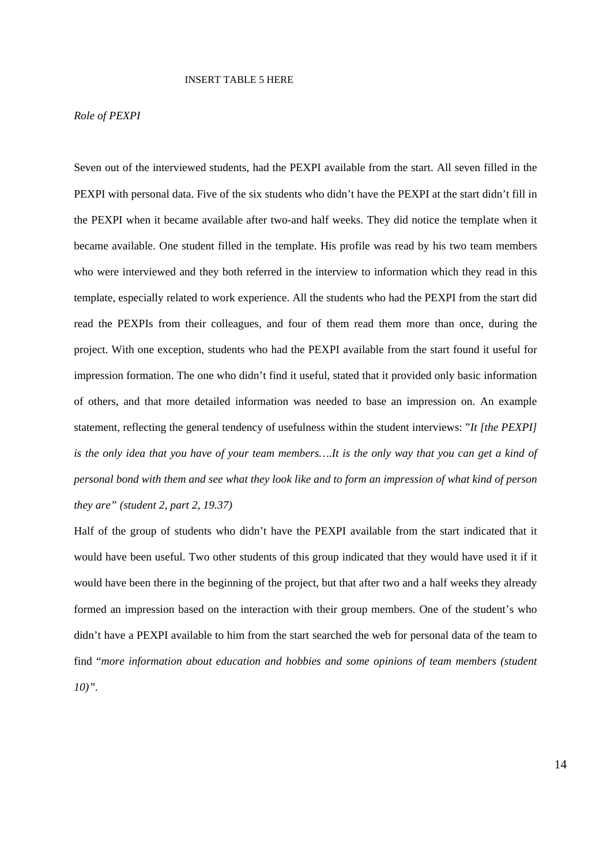#### INSERT TABLE 5 HERE

### *Role of PEXPI*

Seven out of the interviewed students, had the PEXPI available from the start. All seven filled in the PEXPI with personal data. Five of the six students who didn't have the PEXPI at the start didn't fill in the PEXPI when it became available after two-and half weeks. They did notice the template when it became available. One student filled in the template. His profile was read by his two team members who were interviewed and they both referred in the interview to information which they read in this template, especially related to work experience. All the students who had the PEXPI from the start did read the PEXPIs from their colleagues, and four of them read them more than once, during the project. With one exception, students who had the PEXPI available from the start found it useful for impression formation. The one who didn't find it useful, stated that it provided only basic information of others, and that more detailed information was needed to base an impression on. An example statement, reflecting the general tendency of usefulness within the student interviews: "*It [the PEXPI] is the only idea that you have of your team members….It is the only way that you can get a kind of personal bond with them and see what they look like and to form an impression of what kind of person they are" (student 2, part 2, 19.37)* 

Half of the group of students who didn't have the PEXPI available from the start indicated that it would have been useful. Two other students of this group indicated that they would have used it if it would have been there in the beginning of the project, but that after two and a half weeks they already formed an impression based on the interaction with their group members. One of the student's who didn't have a PEXPI available to him from the start searched the web for personal data of the team to find "*more information about education and hobbies and some opinions of team members (student 10)".*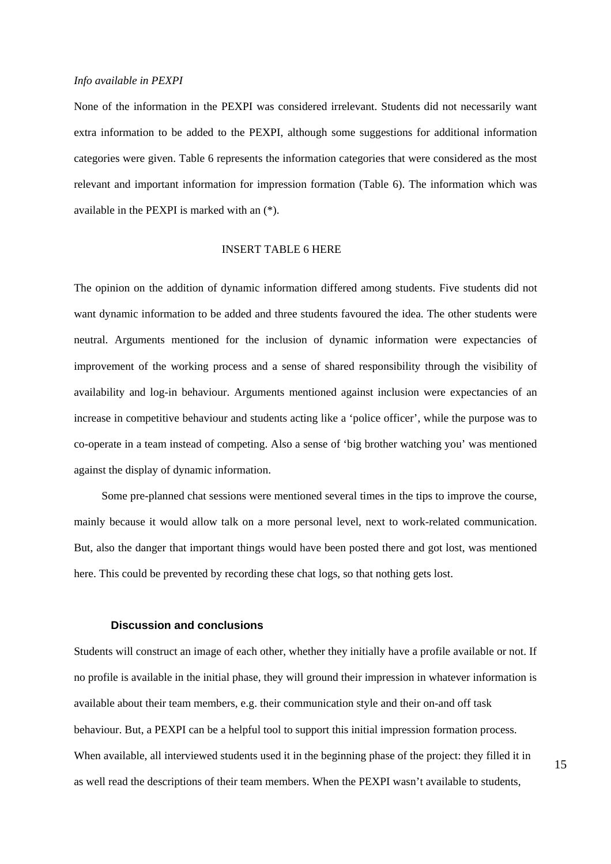#### *Info available in PEXPI*

None of the information in the PEXPI was considered irrelevant. Students did not necessarily want extra information to be added to the PEXPI, although some suggestions for additional information categories were given. Table 6 represents the information categories that were considered as the most relevant and important information for impression formation (Table 6). The information which was available in the PEXPI is marked with an (\*).

### INSERT TABLE 6 HERE

The opinion on the addition of dynamic information differed among students. Five students did not want dynamic information to be added and three students favoured the idea. The other students were neutral. Arguments mentioned for the inclusion of dynamic information were expectancies of improvement of the working process and a sense of shared responsibility through the visibility of availability and log-in behaviour. Arguments mentioned against inclusion were expectancies of an increase in competitive behaviour and students acting like a 'police officer', while the purpose was to co-operate in a team instead of competing. Also a sense of 'big brother watching you' was mentioned against the display of dynamic information.

Some pre-planned chat sessions were mentioned several times in the tips to improve the course, mainly because it would allow talk on a more personal level, next to work-related communication. But, also the danger that important things would have been posted there and got lost, was mentioned here. This could be prevented by recording these chat logs, so that nothing gets lost.

### **Discussion and conclusions**

Students will construct an image of each other, whether they initially have a profile available or not. If no profile is available in the initial phase, they will ground their impression in whatever information is available about their team members, e.g. their communication style and their on-and off task behaviour. But, a PEXPI can be a helpful tool to support this initial impression formation process. When available, all interviewed students used it in the beginning phase of the project: they filled it in as well read the descriptions of their team members. When the PEXPI wasn't available to students,

15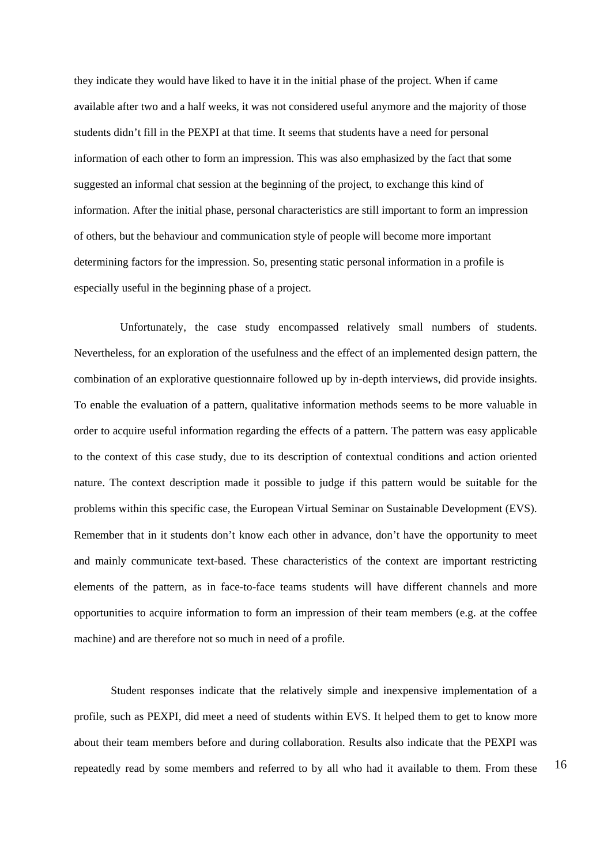they indicate they would have liked to have it in the initial phase of the project. When if came available after two and a half weeks, it was not considered useful anymore and the majority of those students didn't fill in the PEXPI at that time. It seems that students have a need for personal information of each other to form an impression. This was also emphasized by the fact that some suggested an informal chat session at the beginning of the project, to exchange this kind of information. After the initial phase, personal characteristics are still important to form an impression of others, but the behaviour and communication style of people will become more important determining factors for the impression. So, presenting static personal information in a profile is especially useful in the beginning phase of a project.

Unfortunately, the case study encompassed relatively small numbers of students. Nevertheless, for an exploration of the usefulness and the effect of an implemented design pattern, the combination of an explorative questionnaire followed up by in-depth interviews, did provide insights. To enable the evaluation of a pattern, qualitative information methods seems to be more valuable in order to acquire useful information regarding the effects of a pattern. The pattern was easy applicable to the context of this case study, due to its description of contextual conditions and action oriented nature. The context description made it possible to judge if this pattern would be suitable for the problems within this specific case, the European Virtual Seminar on Sustainable Development (EVS). Remember that in it students don't know each other in advance, don't have the opportunity to meet and mainly communicate text-based. These characteristics of the context are important restricting elements of the pattern, as in face-to-face teams students will have different channels and more opportunities to acquire information to form an impression of their team members (e.g. at the coffee machine) and are therefore not so much in need of a profile.

Student responses indicate that the relatively simple and inexpensive implementation of a profile, such as PEXPI, did meet a need of students within EVS. It helped them to get to know more about their team members before and during collaboration. Results also indicate that the PEXPI was repeatedly read by some members and referred to by all who had it available to them. From these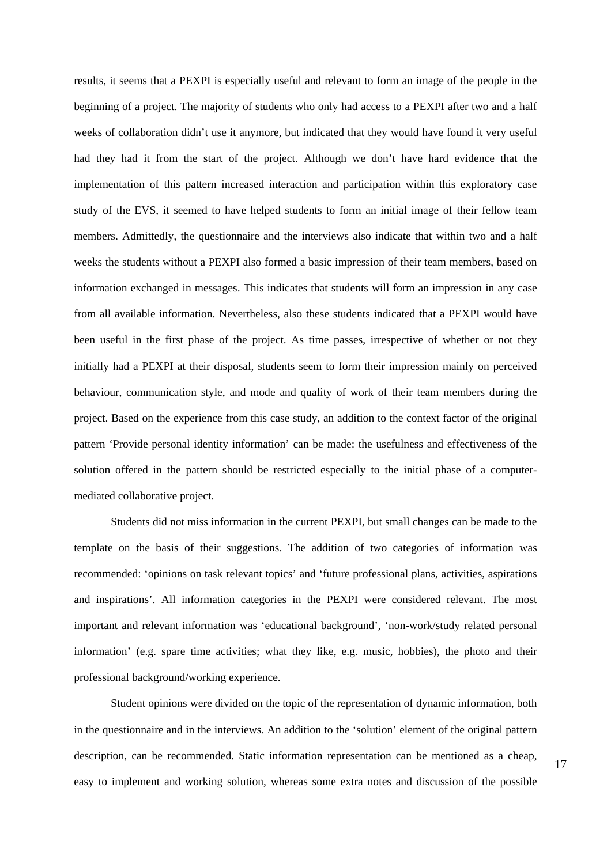results, it seems that a PEXPI is especially useful and relevant to form an image of the people in the beginning of a project. The majority of students who only had access to a PEXPI after two and a half weeks of collaboration didn't use it anymore, but indicated that they would have found it very useful had they had it from the start of the project. Although we don't have hard evidence that the implementation of this pattern increased interaction and participation within this exploratory case study of the EVS, it seemed to have helped students to form an initial image of their fellow team members. Admittedly, the questionnaire and the interviews also indicate that within two and a half weeks the students without a PEXPI also formed a basic impression of their team members, based on information exchanged in messages. This indicates that students will form an impression in any case from all available information. Nevertheless, also these students indicated that a PEXPI would have been useful in the first phase of the project. As time passes, irrespective of whether or not they initially had a PEXPI at their disposal, students seem to form their impression mainly on perceived behaviour, communication style, and mode and quality of work of their team members during the project. Based on the experience from this case study, an addition to the context factor of the original pattern 'Provide personal identity information' can be made: the usefulness and effectiveness of the solution offered in the pattern should be restricted especially to the initial phase of a computermediated collaborative project.

Students did not miss information in the current PEXPI, but small changes can be made to the template on the basis of their suggestions. The addition of two categories of information was recommended: 'opinions on task relevant topics' and 'future professional plans, activities, aspirations and inspirations'. All information categories in the PEXPI were considered relevant. The most important and relevant information was 'educational background', 'non-work/study related personal information' (e.g. spare time activities; what they like, e.g. music, hobbies), the photo and their professional background/working experience.

Student opinions were divided on the topic of the representation of dynamic information, both in the questionnaire and in the interviews. An addition to the 'solution' element of the original pattern description, can be recommended. Static information representation can be mentioned as a cheap, easy to implement and working solution, whereas some extra notes and discussion of the possible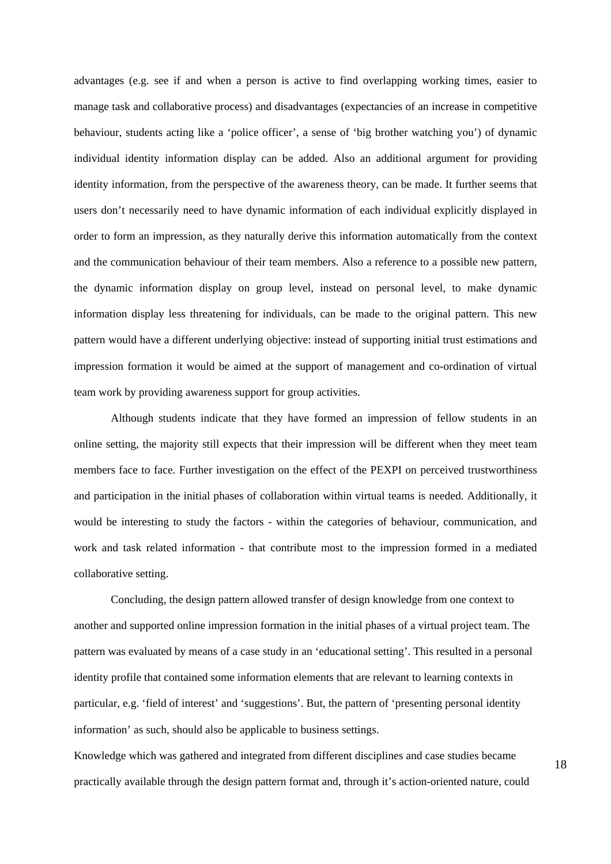advantages (e.g. see if and when a person is active to find overlapping working times, easier to manage task and collaborative process) and disadvantages (expectancies of an increase in competitive behaviour, students acting like a 'police officer', a sense of 'big brother watching you') of dynamic individual identity information display can be added. Also an additional argument for providing identity information, from the perspective of the awareness theory, can be made. It further seems that users don't necessarily need to have dynamic information of each individual explicitly displayed in order to form an impression, as they naturally derive this information automatically from the context and the communication behaviour of their team members. Also a reference to a possible new pattern, the dynamic information display on group level, instead on personal level, to make dynamic information display less threatening for individuals, can be made to the original pattern. This new pattern would have a different underlying objective: instead of supporting initial trust estimations and impression formation it would be aimed at the support of management and co-ordination of virtual team work by providing awareness support for group activities.

Although students indicate that they have formed an impression of fellow students in an online setting, the majority still expects that their impression will be different when they meet team members face to face. Further investigation on the effect of the PEXPI on perceived trustworthiness and participation in the initial phases of collaboration within virtual teams is needed. Additionally, it would be interesting to study the factors - within the categories of behaviour, communication, and work and task related information - that contribute most to the impression formed in a mediated collaborative setting.

Concluding, the design pattern allowed transfer of design knowledge from one context to another and supported online impression formation in the initial phases of a virtual project team. The pattern was evaluated by means of a case study in an 'educational setting'. This resulted in a personal identity profile that contained some information elements that are relevant to learning contexts in particular, e.g. 'field of interest' and 'suggestions'. But, the pattern of 'presenting personal identity information' as such, should also be applicable to business settings.

Knowledge which was gathered and integrated from different disciplines and case studies became practically available through the design pattern format and, through it's action-oriented nature, could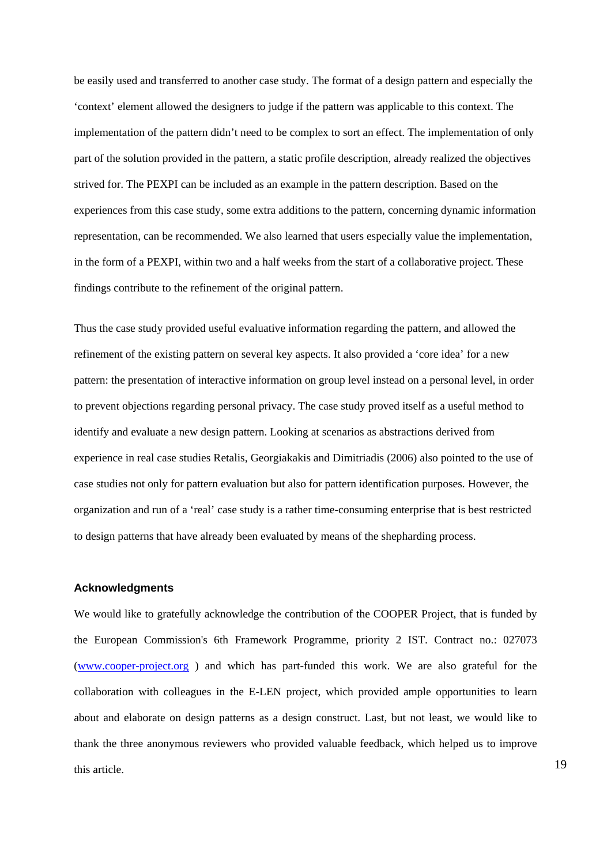be easily used and transferred to another case study. The format of a design pattern and especially the 'context' element allowed the designers to judge if the pattern was applicable to this context. The implementation of the pattern didn't need to be complex to sort an effect. The implementation of only part of the solution provided in the pattern, a static profile description, already realized the objectives strived for. The PEXPI can be included as an example in the pattern description. Based on the experiences from this case study, some extra additions to the pattern, concerning dynamic information representation, can be recommended. We also learned that users especially value the implementation, in the form of a PEXPI, within two and a half weeks from the start of a collaborative project. These findings contribute to the refinement of the original pattern.

Thus the case study provided useful evaluative information regarding the pattern, and allowed the refinement of the existing pattern on several key aspects. It also provided a 'core idea' for a new pattern: the presentation of interactive information on group level instead on a personal level, in order to prevent objections regarding personal privacy. The case study proved itself as a useful method to identify and evaluate a new design pattern. Looking at scenarios as abstractions derived from experience in real case studies Retalis, Georgiakakis and Dimitriadis (2006) also pointed to the use of case studies not only for pattern evaluation but also for pattern identification purposes. However, the organization and run of a 'real' case study is a rather time-consuming enterprise that is best restricted to design patterns that have already been evaluated by means of the shepharding process.

### **Acknowledgments**

We would like to gratefully acknowledge the contribution of the COOPER Project, that is funded by the European Commission's 6th Framework Programme, priority 2 IST. Contract no.: 027073 (www.cooper-project.org ) and which has part-funded this work. We are also grateful for the collaboration with colleagues in the E-LEN project, which provided ample opportunities to learn about and elaborate on design patterns as a design construct. Last, but not least, we would like to thank the three anonymous reviewers who provided valuable feedback, which helped us to improve this article.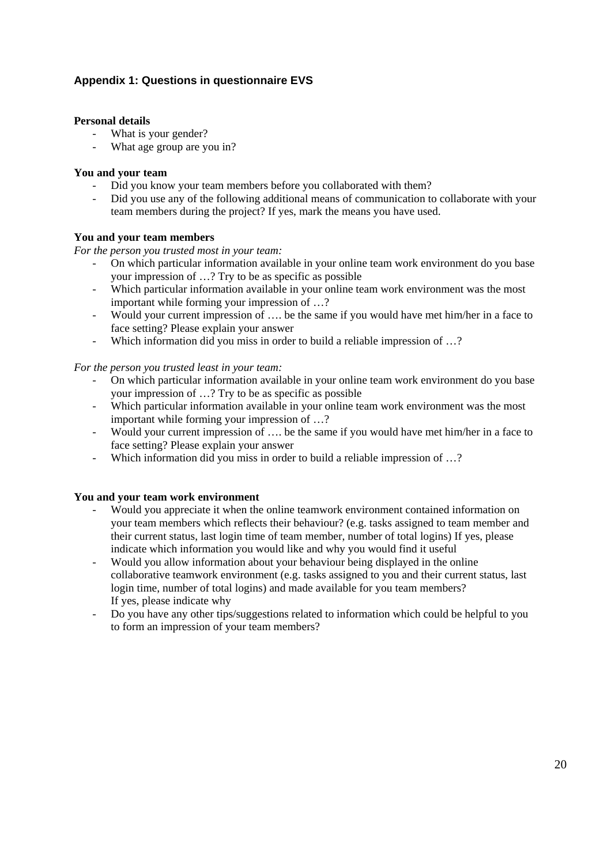# **Appendix 1: Questions in questionnaire EVS**

# **Personal details**

- What is your gender?
- What age group are you in?

# **You and your team**

- Did you know your team members before you collaborated with them?
- Did you use any of the following additional means of communication to collaborate with your team members during the project? If yes, mark the means you have used.

# **You and your team members**

*For the person you trusted most in your team:* 

- On which particular information available in your online team work environment do you base your impression of …? Try to be as specific as possible
- Which particular information available in your online team work environment was the most important while forming your impression of …?
- Would your current impression of …. be the same if you would have met him/her in a face to face setting? Please explain your answer
- Which information did you miss in order to build a reliable impression of ...?

# *For the person you trusted least in your team:*

- On which particular information available in your online team work environment do you base your impression of …? Try to be as specific as possible
- Which particular information available in your online team work environment was the most important while forming your impression of …?
- Would your current impression of …. be the same if you would have met him/her in a face to face setting? Please explain your answer
- Which information did you miss in order to build a reliable impression of ...?

# **You and your team work environment**

- Would you appreciate it when the online teamwork environment contained information on your team members which reflects their behaviour? (e.g. tasks assigned to team member and their current status, last login time of team member, number of total logins) If yes, please indicate which information you would like and why you would find it useful
- Would you allow information about your behaviour being displayed in the online collaborative teamwork environment (e.g. tasks assigned to you and their current status, last login time, number of total logins) and made available for you team members? If yes, please indicate why
- Do you have any other tips/suggestions related to information which could be helpful to you to form an impression of your team members?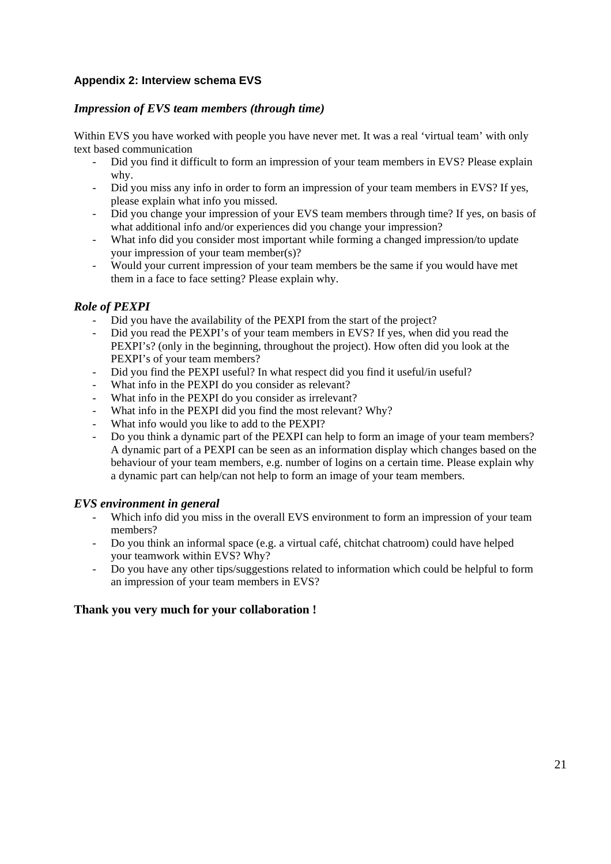# **Appendix 2: Interview schema EVS**

# *Impression of EVS team members (through time)*

Within EVS you have worked with people you have never met. It was a real 'virtual team' with only text based communication

- Did you find it difficult to form an impression of your team members in EVS? Please explain why.
- Did you miss any info in order to form an impression of your team members in EVS? If yes, please explain what info you missed.
- Did you change your impression of your EVS team members through time? If yes, on basis of what additional info and/or experiences did you change your impression?
- What info did you consider most important while forming a changed impression/to update your impression of your team member(s)?
- Would your current impression of your team members be the same if you would have met them in a face to face setting? Please explain why.

# *Role of PEXPI*

- Did you have the availability of the PEXPI from the start of the project?
- Did you read the PEXPI's of your team members in EVS? If yes, when did you read the PEXPI's? (only in the beginning, throughout the project). How often did you look at the PEXPI's of your team members?
- Did you find the PEXPI useful? In what respect did you find it useful/in useful?
- What info in the PEXPI do you consider as relevant?
- What info in the PEXPI do you consider as irrelevant?
- What info in the PEXPI did you find the most relevant? Why?
- What info would you like to add to the PEXPI?
- Do you think a dynamic part of the PEXPI can help to form an image of your team members? A dynamic part of a PEXPI can be seen as an information display which changes based on the behaviour of your team members, e.g. number of logins on a certain time. Please explain why a dynamic part can help/can not help to form an image of your team members.

# *EVS environment in general*

- Which info did you miss in the overall EVS environment to form an impression of your team members?
- Do you think an informal space (e.g. a virtual café, chitchat chatroom) could have helped your teamwork within EVS? Why?
- Do you have any other tips/suggestions related to information which could be helpful to form an impression of your team members in EVS?

# **Thank you very much for your collaboration !**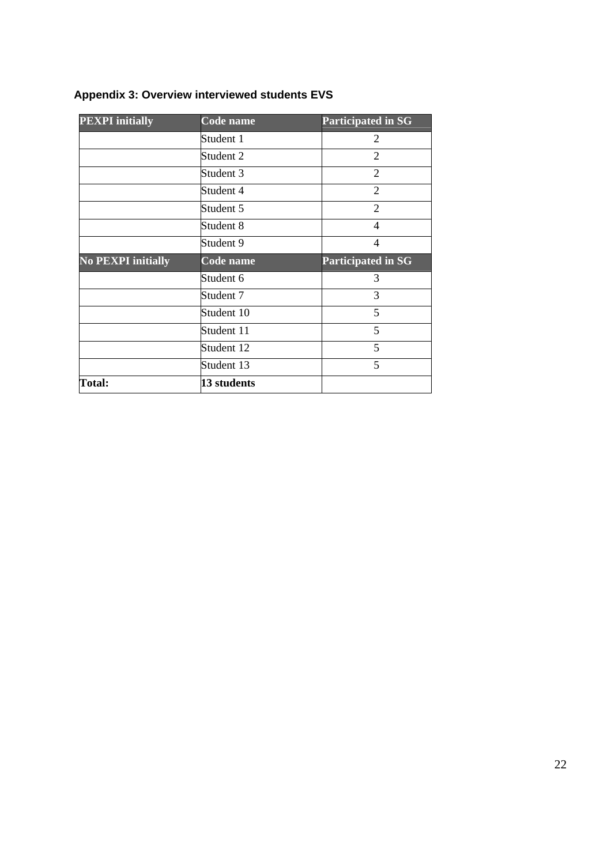# **Appendix 3: Overview interviewed students EVS**

| <b>PEXPI</b> initially    | Code name  | <b>Participated in SG</b> |
|---------------------------|------------|---------------------------|
|                           | Student 1  | 2                         |
|                           | Student 2  | 2                         |
|                           | Student 3  | 2                         |
|                           | Student 4  | $\mathfrak{D}$            |
|                           | Student 5  | 2                         |
|                           | Student 8  | $\overline{4}$            |
|                           | Student 9  | 4                         |
|                           |            |                           |
| <b>No PEXPI initially</b> | Code name  | <b>Participated in SG</b> |
|                           | Student 6  | 3                         |
|                           | Student 7  | 3                         |
|                           | Student 10 | 5                         |
|                           | Student 11 | 5                         |
|                           | Student 12 | 5                         |
|                           | Student 13 | 5                         |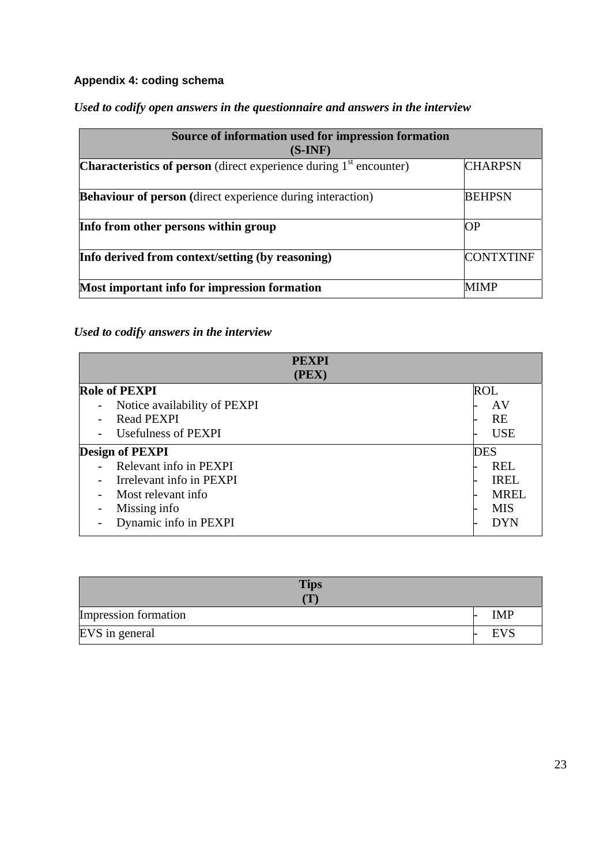# **Appendix 4: coding schema**

| Source of information used for impression formation<br>$(S-INF)$            |                |
|-----------------------------------------------------------------------------|----------------|
| <b>Characteristics of person</b> (direct experience during $1st$ encounter) | <b>CHARPSN</b> |
| <b>Behaviour of person</b> (direct experience during interaction)           | <b>BEHPSN</b>  |
| Info from other persons within group                                        | <b>OP</b>      |
| Info derived from context/setting (by reasoning)                            | CONTXTINF      |
| Most important info for impression formation                                | <b>MIMP</b>    |

*Used to codify open answers in the questionnaire and answers in the interview* 

# *Used to codify answers in the interview*

| <b>PEXPI</b><br>(PEX)        |             |
|------------------------------|-------------|
| <b>Role of PEXPI</b>         | <b>ROL</b>  |
| Notice availability of PEXPI | AV          |
| <b>Read PEXPI</b>            | <b>RE</b>   |
| <b>Usefulness of PEXPI</b>   | <b>USE</b>  |
| <b>Design of PEXPI</b>       | <b>DES</b>  |
| Relevant info in PEXPI       | <b>REL</b>  |
| Irrelevant info in PEXPI     | <b>IREL</b> |
| Most relevant info           | <b>MREL</b> |
| Missing info                 | <b>MIS</b>  |
| Dynamic info in PEXPI        | <b>DYN</b>  |

| <b>Tips</b>          |            |
|----------------------|------------|
| Impression formation | <b>IMP</b> |
| EVS in general       | <b>EVS</b> |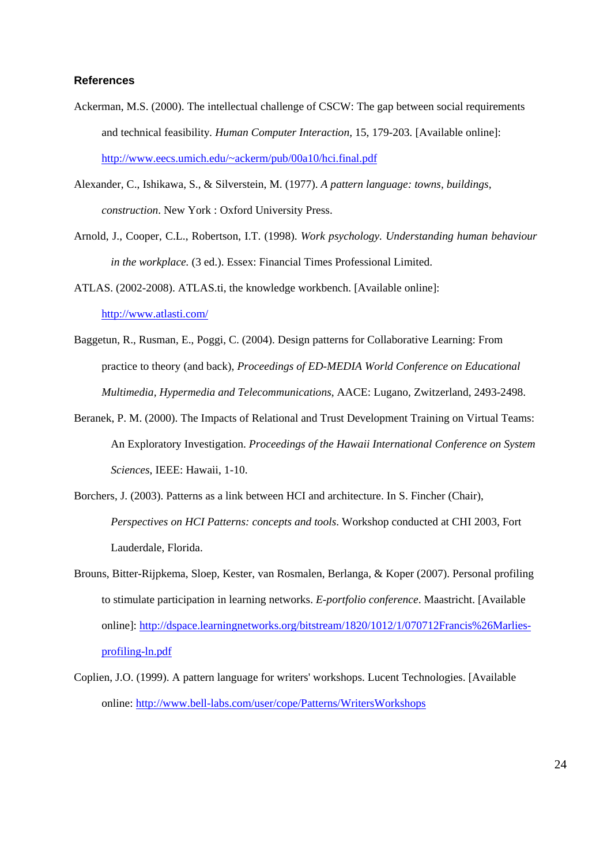### **References**

- Ackerman, M.S. (2000). The intellectual challenge of CSCW: The gap between social requirements and technical feasibility*. Human Computer Interaction,* 15, 179-203*.* [Available online]: http://www.eecs.umich.edu/~ackerm/pub/00a10/hci.final.pdf
- Alexander, C., Ishikawa, S., & Silverstein, M. (1977). *A pattern language: towns, buildings, construction*. New York : Oxford University Press.
- Arnold, J., Cooper, C.L., Robertson, I.T. (1998). *Work psychology. Understanding human behaviour in the workplace.* (3 ed.). Essex: Financial Times Professional Limited.
- ATLAS. (2002-2008). ATLAS.ti, the knowledge workbench. [Available online]: http://www.atlasti.com/
- Baggetun, R., Rusman, E., Poggi, C. (2004). Design patterns for Collaborative Learning: From practice to theory (and back), *Proceedings of ED-MEDIA World Conference on Educational Multimedia, Hypermedia and Telecommunications*, AACE: Lugano, Zwitzerland, 2493-2498.
- Beranek, P. M. (2000). The Impacts of Relational and Trust Development Training on Virtual Teams: An Exploratory Investigation. *Proceedings of the Hawaii International Conference on System Sciences*, IEEE: Hawaii, 1-10.
- Borchers, J. (2003). Patterns as a link between HCI and architecture. In S. Fincher (Chair), *Perspectives on HCI Patterns: concepts and tools*. Workshop conducted at CHI 2003, Fort Lauderdale, Florida.
- Brouns, Bitter-Rijpkema, Sloep, Kester, van Rosmalen, Berlanga, & Koper (2007). Personal profiling to stimulate participation in learning networks. *E-portfolio conference*. Maastricht. [Available online]: http://dspace.learningnetworks.org/bitstream/1820/1012/1/070712Francis%26Marliesprofiling-ln.pdf
- Coplien, J.O. (1999). A pattern language for writers' workshops. Lucent Technologies. [Available online: http://www.bell-labs.com/user/cope/Patterns/WritersWorkshops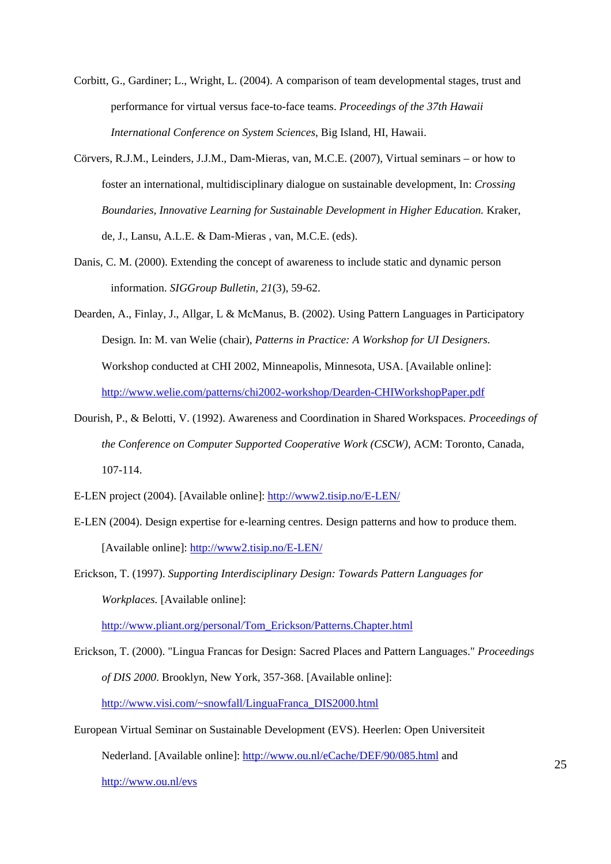- Corbitt, G., Gardiner; L., Wright, L. (2004). A comparison of team developmental stages, trust and performance for virtual versus face-to-face teams. *Proceedings of the 37th Hawaii International Conference on System Sciences*, Big Island, HI, Hawaii.
- Cörvers, R.J.M., Leinders, J.J.M., Dam-Mieras, van, M.C.E. (2007), Virtual seminars or how to foster an international, multidisciplinary dialogue on sustainable development, In: *Crossing Boundaries, Innovative Learning for Sustainable Development in Higher Education.* Kraker, de, J., Lansu, A.L.E. & Dam-Mieras , van, M.C.E. (eds).
- Danis, C. M. (2000). Extending the concept of awareness to include static and dynamic person information. *SIGGroup Bulletin, 21*(3), 59-62.
- Dearden, A., Finlay, J., Allgar, L & McManus, B. (2002). Using Pattern Languages in Participatory Design*.* In: M. van Welie (chair), *Patterns in Practice: A Workshop for UI Designers.* Workshop conducted at CHI 2002*,* Minneapolis, Minnesota, USA. [Available online]: http://www.welie.com/patterns/chi2002-workshop/Dearden-CHIWorkshopPaper.pdf
- Dourish, P., & Belotti, V. (1992). Awareness and Coordination in Shared Workspaces. *Proceedings of the Conference on Computer Supported Cooperative Work (CSCW),* ACM: Toronto, Canada, 107-114.
- E-LEN project (2004). [Available online]: http://www2.tisip.no/E-LEN/
- E-LEN (2004). Design expertise for e-learning centres. Design patterns and how to produce them. [Available online]: http://www2.tisip.no/E-LEN/
- Erickson, T. (1997). *Supporting Interdisciplinary Design: Towards Pattern Languages for Workplaces.* [Available online]:

http://www.pliant.org/personal/Tom\_Erickson/Patterns.Chapter.html

- Erickson, T. (2000). "Lingua Francas for Design: Sacred Places and Pattern Languages." *Proceedings of DIS 2000*. Brooklyn, New York, 357-368. [Available online]: http://www.visi.com/~snowfall/LinguaFranca\_DIS2000.html
- European Virtual Seminar on Sustainable Development (EVS). Heerlen: Open Universiteit Nederland. [Available online]: http://www.ou.nl/eCache/DEF/90/085.html and

http://www.ou.nl/evs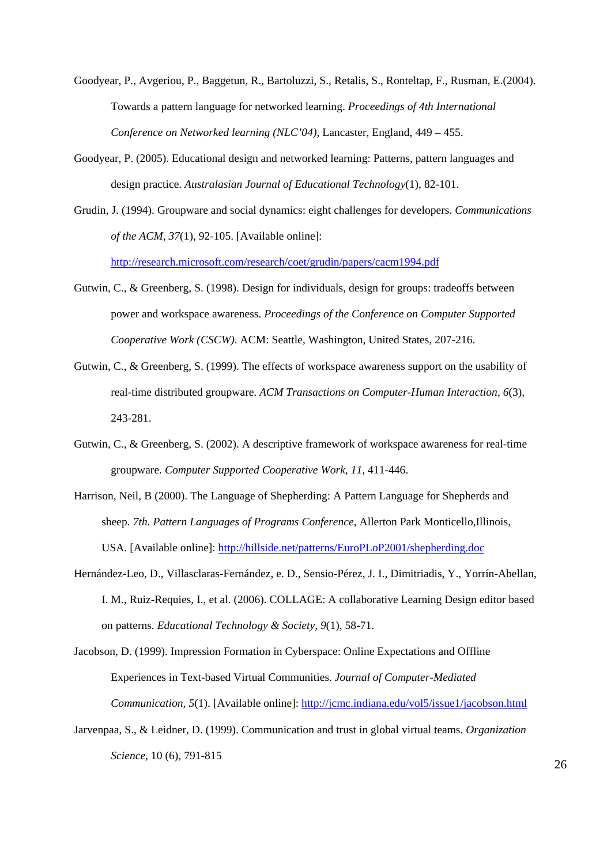Goodyear, P., Avgeriou, P., Baggetun, R., Bartoluzzi, S., Retalis, S., Ronteltap, F., Rusman, E.(2004). Towards a pattern language for networked learning. *Proceedings of 4th International Conference on Networked learning (NLC'04)*, Lancaster, England, 449 – 455.

- Goodyear, P. (2005). Educational design and networked learning: Patterns, pattern languages and design practice. *Australasian Journal of Educational Technology*(1), 82-101.
- Grudin, J. (1994). Groupware and social dynamics: eight challenges for developers. *Communications of the ACM, 37*(1), 92-105. [Available online]:

http://research.microsoft.com/research/coet/grudin/papers/cacm1994.pdf

- Gutwin, C., & Greenberg, S. (1998). Design for individuals, design for groups: tradeoffs between power and workspace awareness. *Proceedings of the Conference on Computer Supported Cooperative Work (CSCW)*. ACM: Seattle, Washington, United States, 207-216.
- Gutwin, C., & Greenberg, S. (1999). The effects of workspace awareness support on the usability of real-time distributed groupware. *ACM Transactions on Computer-Human Interaction, 6*(3), 243-281.
- Gutwin, C., & Greenberg, S. (2002). A descriptive framework of workspace awareness for real-time groupware. *Computer Supported Cooperative Work, 11*, 411-446.
- Harrison, Neil, B (2000). The Language of Shepherding: A Pattern Language for Shepherds and sheep. *7th. Pattern Languages of Programs Conference*, Allerton Park Monticello,Illinois, USA. [Available online]: http://hillside.net/patterns/EuroPLoP2001/shepherding.doc
- Hernández-Leo, D., Villasclaras-Fernández, e. D., Sensio-Pérez, J. I., Dimitriadis, Y., Yorrín-Abellan, I. M., Ruiz-Requies, I., et al. (2006). COLLAGE: A collaborative Learning Design editor based on patterns. *Educational Technology & Society, 9*(1), 58-71.
- Jacobson, D. (1999). Impression Formation in Cyberspace: Online Expectations and Offline Experiences in Text-based Virtual Communities. *Journal of Computer-Mediated Communication, 5*(1). [Available online]: http://jcmc.indiana.edu/vol5/issue1/jacobson.html
- Jarvenpaa, S., & Leidner, D. (1999). Communication and trust in global virtual teams. *Organization Science*, 10 (6), 791-815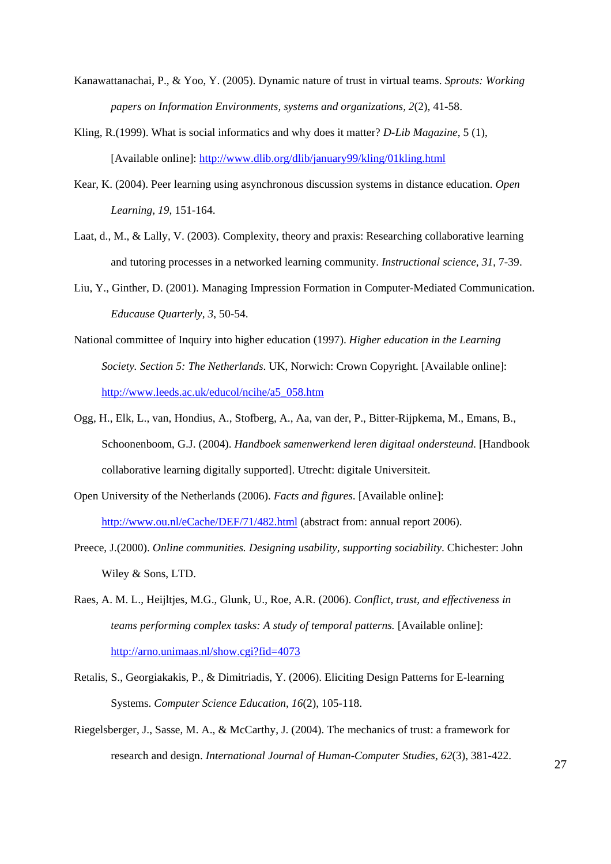- Kanawattanachai, P., & Yoo, Y. (2005). Dynamic nature of trust in virtual teams. *Sprouts: Working papers on Information Environments, systems and organizations, 2*(2), 41-58.
- Kling, R.(1999). What is social informatics and why does it matter? *D-Lib Magazine*, 5 (1), [Available online]: http://www.dlib.org/dlib/january99/kling/01kling.html
- Kear, K. (2004). Peer learning using asynchronous discussion systems in distance education. *Open Learning, 19*, 151-164.
- Laat, d., M., & Lally, V. (2003). Complexity, theory and praxis: Researching collaborative learning and tutoring processes in a networked learning community. *Instructional science, 31*, 7-39.
- Liu, Y., Ginther, D. (2001). Managing Impression Formation in Computer-Mediated Communication. *Educause Quarterly, 3*, 50-54.
- National committee of Inquiry into higher education (1997). *Higher education in the Learning Society. Section 5: The Netherlands*. UK, Norwich: Crown Copyright. [Available online]: http://www.leeds.ac.uk/educol/ncihe/a5\_058.htm
- Ogg, H., Elk, L., van, Hondius, A., Stofberg, A., Aa, van der, P., Bitter-Rijpkema, M., Emans, B., Schoonenboom, G.J. (2004). *Handboek samenwerkend leren digitaal ondersteund*. [Handbook collaborative learning digitally supported]. Utrecht: digitale Universiteit.
- Open University of the Netherlands (2006). *Facts and figures*. [Available online]: http://www.ou.nl/eCache/DEF/71/482.html (abstract from: annual report 2006).
- Preece, J.(2000). *Online communities. Designing usability, supporting sociability*. Chichester: John Wiley & Sons, LTD.
- Raes, A. M. L., Heijltjes, M.G., Glunk, U., Roe, A.R. (2006). *Conflict, trust, and effectiveness in teams performing complex tasks: A study of temporal patterns.* [Available online]: http://arno.unimaas.nl/show.cgi?fid=4073
- Retalis, S., Georgiakakis, P., & Dimitriadis, Y. (2006). Eliciting Design Patterns for E-learning Systems. *Computer Science Education, 16*(2), 105-118.
- Riegelsberger, J., Sasse, M. A., & McCarthy, J. (2004). The mechanics of trust: a framework for research and design. *International Journal of Human-Computer Studies, 62*(3), 381-422.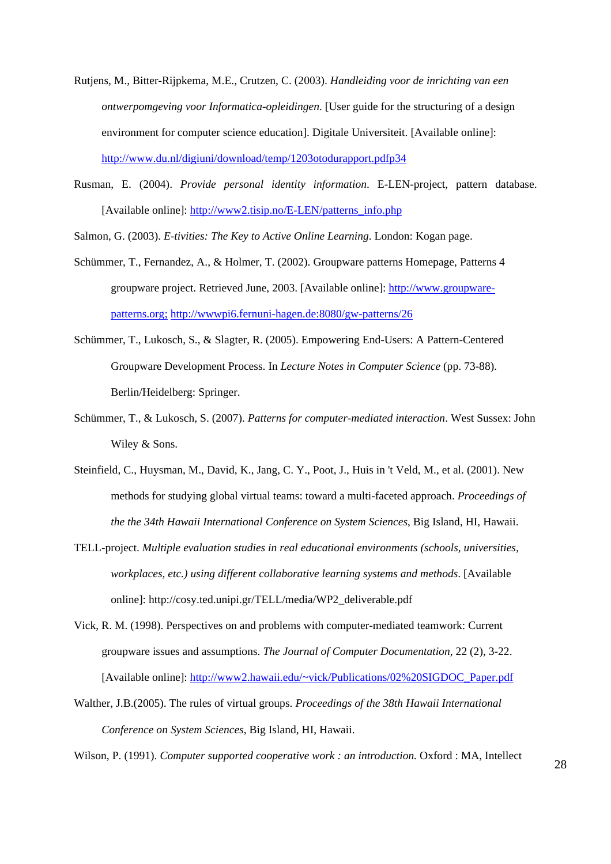- Rutjens, M., Bitter-Rijpkema, M.E., Crutzen, C. (2003). *Handleiding voor de inrichting van een ontwerpomgeving voor Informatica-opleidingen*. [User guide for the structuring of a design environment for computer science education]. Digitale Universiteit. [Available online]: http://www.du.nl/digiuni/download/temp/1203otodurapport.pdfp34
- Rusman, E. (2004). *Provide personal identity information*. E-LEN-project, pattern database. [Available online]: http://www2.tisip.no/E-LEN/patterns\_info.php

Salmon, G. (2003). *E-tivities: The Key to Active Online Learning*. London: Kogan page.

- Schümmer, T., Fernandez, A., & Holmer, T. (2002). Groupware patterns Homepage, Patterns 4 groupware project. Retrieved June, 2003. [Available online]: http://www.groupwarepatterns.org; http://wwwpi6.fernuni-hagen.de:8080/gw-patterns/26
- Schümmer, T., Lukosch, S., & Slagter, R. (2005). Empowering End-Users: A Pattern-Centered Groupware Development Process. In *Lecture Notes in Computer Science* (pp. 73-88). Berlin/Heidelberg: Springer.
- Schümmer, T., & Lukosch, S. (2007). *Patterns for computer-mediated interaction*. West Sussex: John Wiley & Sons.
- Steinfield, C., Huysman, M., David, K., Jang, C. Y., Poot, J., Huis in 't Veld, M., et al. (2001). New methods for studying global virtual teams: toward a multi-faceted approach. *Proceedings of the the 34th Hawaii International Conference on System Sciences*, Big Island, HI, Hawaii.
- TELL-project. *Multiple evaluation studies in real educational environments (schools, universities, workplaces, etc.) using different collaborative learning systems and methods*. [Available online]: http://cosy.ted.unipi.gr/TELL/media/WP2\_deliverable.pdf
- Vick, R. M. (1998). Perspectives on and problems with computer-mediated teamwork: Current groupware issues and assumptions. *The Journal of Computer Documentation*, 22 (2), 3-22. [Available online]: http://www2.hawaii.edu/~vick/Publications/02%20SIGDOC\_Paper.pdf
- Walther, J.B.(2005). The rules of virtual groups. *Proceedings of the 38th Hawaii International Conference on System Sciences*, Big Island, HI, Hawaii.

Wilson, P. (1991). *Computer supported cooperative work : an introduction*. Oxford : MA, Intellect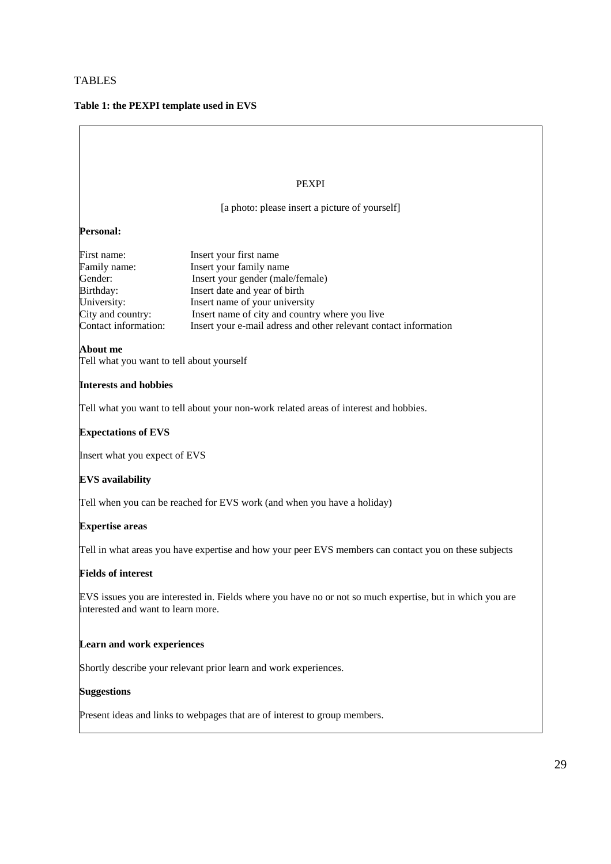# TABLES

# **Table 1: the PEXPI template used in EVS**

|                                                                                                                 | <b>PEXPI</b>                                                                                                                                                                                                                                                                   |
|-----------------------------------------------------------------------------------------------------------------|--------------------------------------------------------------------------------------------------------------------------------------------------------------------------------------------------------------------------------------------------------------------------------|
|                                                                                                                 | [a photo: please insert a picture of yourself]                                                                                                                                                                                                                                 |
| <b>Personal:</b>                                                                                                |                                                                                                                                                                                                                                                                                |
| First name:<br>Family name:<br>Gender:<br>Birthday:<br>University:<br>City and country:<br>Contact information: | Insert your first name<br>Insert your family name<br>Insert your gender (male/female)<br>Insert date and year of birth<br>Insert name of your university<br>Insert name of city and country where you live<br>Insert your e-mail adress and other relevant contact information |
| <b>About me</b><br>Tell what you want to tell about yourself                                                    |                                                                                                                                                                                                                                                                                |
| <b>Interests and hobbies</b>                                                                                    |                                                                                                                                                                                                                                                                                |
|                                                                                                                 | Tell what you want to tell about your non-work related areas of interest and hobbies.                                                                                                                                                                                          |
| <b>Expectations of EVS</b>                                                                                      |                                                                                                                                                                                                                                                                                |
| Insert what you expect of EVS                                                                                   |                                                                                                                                                                                                                                                                                |
| <b>EVS</b> availability                                                                                         |                                                                                                                                                                                                                                                                                |
|                                                                                                                 | Tell when you can be reached for EVS work (and when you have a holiday)                                                                                                                                                                                                        |
| <b>Expertise areas</b>                                                                                          |                                                                                                                                                                                                                                                                                |
|                                                                                                                 | Tell in what areas you have expertise and how your peer EVS members can contact you on these subjects                                                                                                                                                                          |
| <b>Fields of interest</b>                                                                                       |                                                                                                                                                                                                                                                                                |
| interested and want to learn more.                                                                              | EVS issues you are interested in. Fields where you have no or not so much expertise, but in which you are                                                                                                                                                                      |
| <b>Learn and work experiences</b>                                                                               |                                                                                                                                                                                                                                                                                |
|                                                                                                                 | Shortly describe your relevant prior learn and work experiences.                                                                                                                                                                                                               |
| <b>Suggestions</b>                                                                                              |                                                                                                                                                                                                                                                                                |
|                                                                                                                 | Present ideas and links to webpages that are of interest to group members.                                                                                                                                                                                                     |
|                                                                                                                 |                                                                                                                                                                                                                                                                                |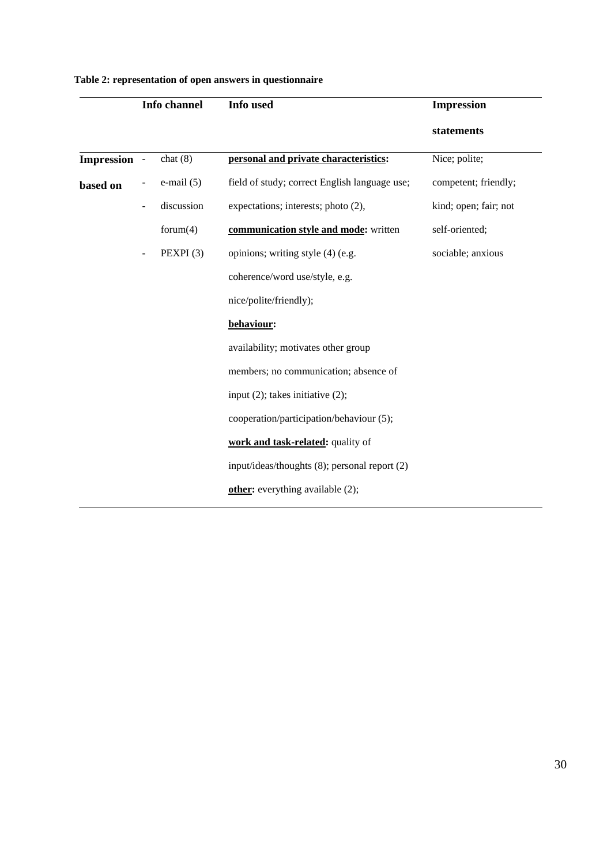|  |  | Table 2: representation of open answers in questionnaire |
|--|--|----------------------------------------------------------|
|  |  |                                                          |

|              | Info channel             |                 | Info used                                     |                       |  |  |
|--------------|--------------------------|-----------------|-----------------------------------------------|-----------------------|--|--|
|              |                          |                 |                                               | statements            |  |  |
| Impression - |                          | chat(8)         | personal and private characteristics:         | Nice; polite;         |  |  |
| based on     |                          | $e$ -mail $(5)$ | field of study; correct English language use; | competent; friendly;  |  |  |
|              | $\overline{\phantom{a}}$ | discussion      | expectations; interests; photo (2),           | kind; open; fair; not |  |  |
|              |                          | forum $(4)$     | communication style and mode: written         | self-oriented;        |  |  |
|              | $\blacksquare$           | PEXPI(3)        | opinions; writing style (4) (e.g.             | sociable; anxious     |  |  |
|              |                          |                 | coherence/word use/style, e.g.                |                       |  |  |
|              |                          |                 | nice/polite/friendly);                        |                       |  |  |
|              |                          |                 | behaviour:                                    |                       |  |  |
|              |                          |                 | availability; motivates other group           |                       |  |  |
|              |                          |                 | members; no communication; absence of         |                       |  |  |
|              |                          |                 | input $(2)$ ; takes initiative $(2)$ ;        |                       |  |  |
|              |                          |                 | cooperation/participation/behaviour (5);      |                       |  |  |
|              |                          |                 | work and task-related: quality of             |                       |  |  |
|              |                          |                 | input/ideas/thoughts (8); personal report (2) |                       |  |  |
|              |                          |                 | other: everything available (2);              |                       |  |  |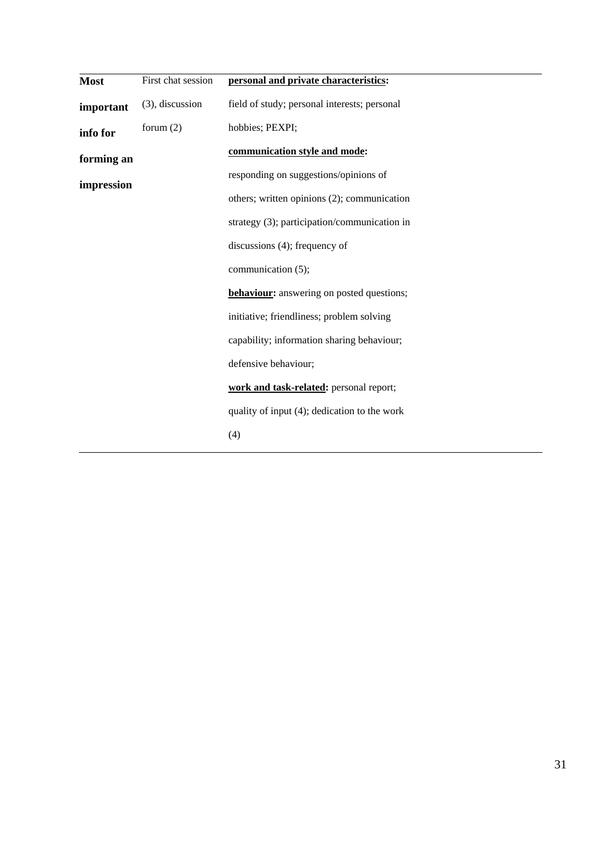| <b>Most</b> | First chat session | personal and private characteristics:            |
|-------------|--------------------|--------------------------------------------------|
| important   | $(3)$ , discussion | field of study; personal interests; personal     |
| info for    | forum $(2)$        | hobbies; PEXPI;                                  |
| forming an  |                    | communication style and mode:                    |
| impression  |                    | responding on suggestions/opinions of            |
|             |                    | others; written opinions (2); communication      |
|             |                    | strategy (3); participation/communication in     |
|             |                    | discussions $(4)$ ; frequency of                 |
|             |                    | communication (5);                               |
|             |                    | <b>behaviour:</b> answering on posted questions; |
|             |                    | initiative; friendliness; problem solving        |
|             |                    | capability; information sharing behaviour;       |
|             |                    | defensive behaviour;                             |
|             |                    | work and task-related: personal report;          |
|             |                    | quality of input (4); dedication to the work     |
|             |                    | (4)                                              |
|             |                    |                                                  |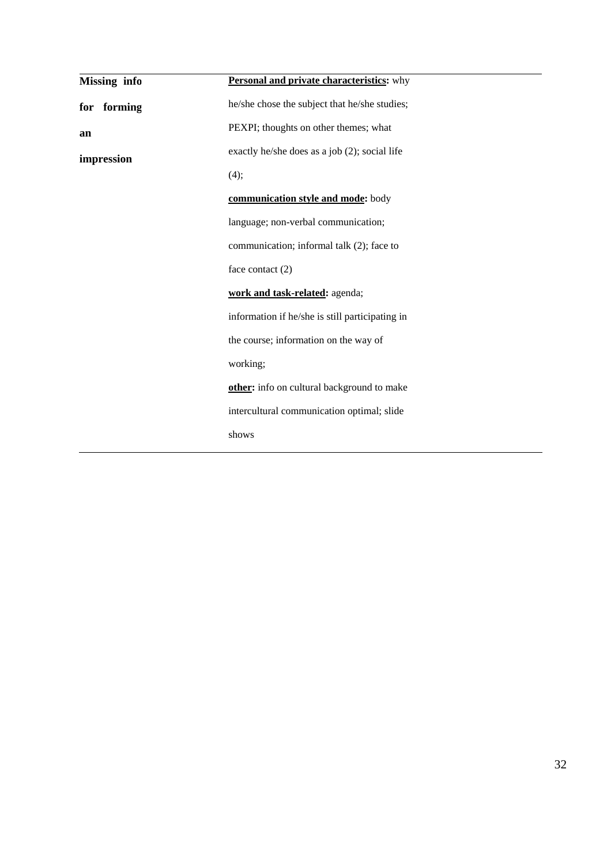| <b>Missing</b> info | <b>Personal and private characteristics:</b> why |
|---------------------|--------------------------------------------------|
| for forming         | he/she chose the subject that he/she studies;    |
| an                  | PEXPI; thoughts on other themes; what            |
| impression          | exactly he/she does as a job (2); social life    |
|                     | (4);                                             |
|                     | communication style and mode: body               |
|                     | language; non-verbal communication;              |
|                     | communication; informal talk (2); face to        |
|                     | face contact $(2)$                               |
|                     | work and task-related: agenda;                   |
|                     | information if he/she is still participating in  |
|                     | the course; information on the way of            |
|                     | working;                                         |
|                     | other: info on cultural background to make       |
|                     | intercultural communication optimal; slide       |
|                     | shows                                            |
|                     |                                                  |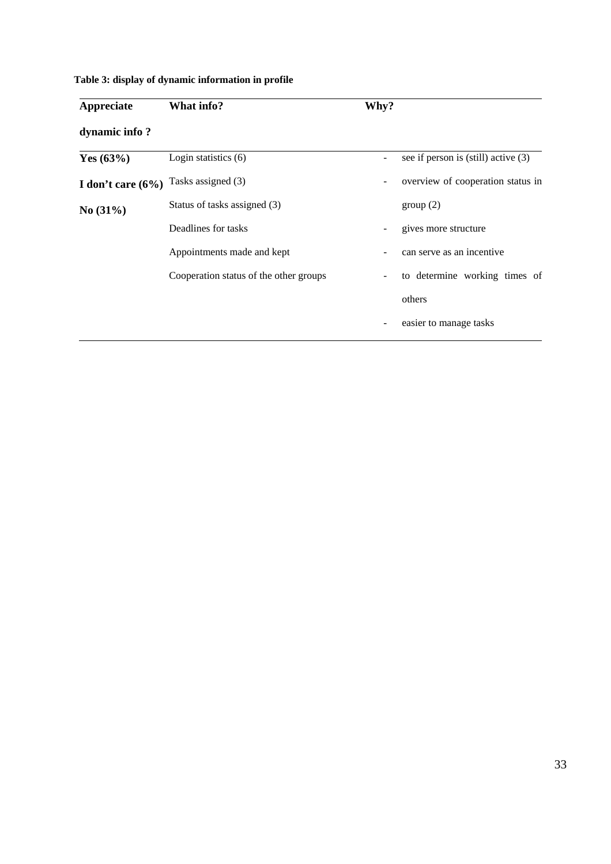| Appreciate           | What info?                             | Why? |                                     |
|----------------------|----------------------------------------|------|-------------------------------------|
| dynamic info?        |                                        |      |                                     |
| Yes $(63%)$          | Login statistics $(6)$                 | -    | see if person is (still) active (3) |
| I don't care $(6\%)$ | Tasks assigned (3)                     |      | overview of cooperation status in   |
| No $(31%)$           | Status of tasks assigned (3)           |      | group(2)                            |
|                      | Deadlines for tasks                    |      | gives more structure                |
|                      | Appointments made and kept             |      | can serve as an incentive           |
|                      | Cooperation status of the other groups |      | to determine working times of       |
|                      |                                        |      | others                              |
|                      |                                        |      | easier to manage tasks              |

# **Table 3: display of dynamic information in profile**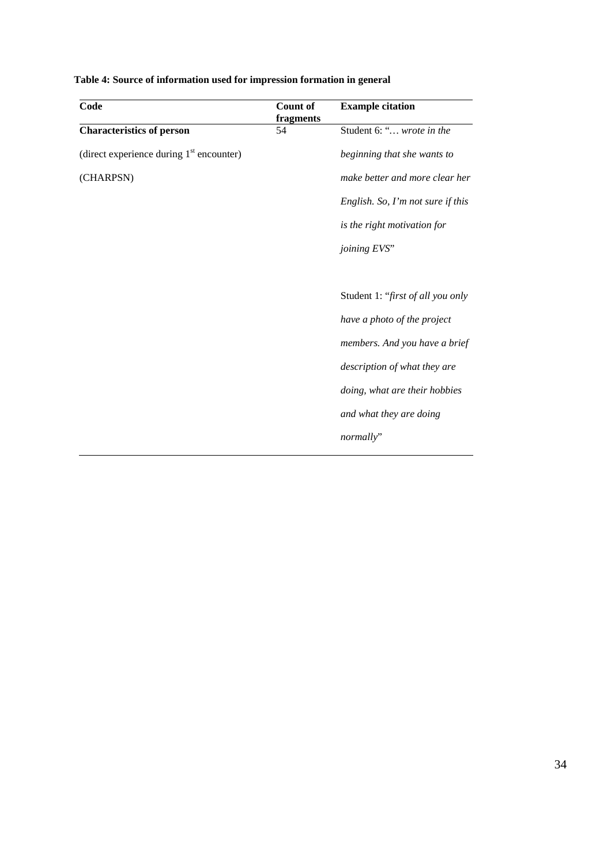|  |  |  |  |  |  |  | Table 4: Source of information used for impression formation in general |
|--|--|--|--|--|--|--|-------------------------------------------------------------------------|
|  |  |  |  |  |  |  |                                                                         |

| Code                                                 | <b>Count of</b><br>fragments | <b>Example citation</b>           |
|------------------------------------------------------|------------------------------|-----------------------------------|
| <b>Characteristics of person</b>                     | 54                           | Student 6: " wrote in the         |
| (direct experience during 1 <sup>st</sup> encounter) |                              | beginning that she wants to       |
| (CHARPSN)                                            |                              | make better and more clear her    |
|                                                      |                              | English. So, I'm not sure if this |
|                                                      |                              | is the right motivation for       |
|                                                      |                              | joining EVS"                      |
|                                                      |                              |                                   |
|                                                      |                              | Student 1: "first of all you only |
|                                                      |                              | have a photo of the project       |
|                                                      |                              | members. And you have a brief     |
|                                                      |                              | description of what they are      |
|                                                      |                              | doing, what are their hobbies     |
|                                                      |                              | and what they are doing           |
|                                                      |                              | normally"                         |
|                                                      |                              |                                   |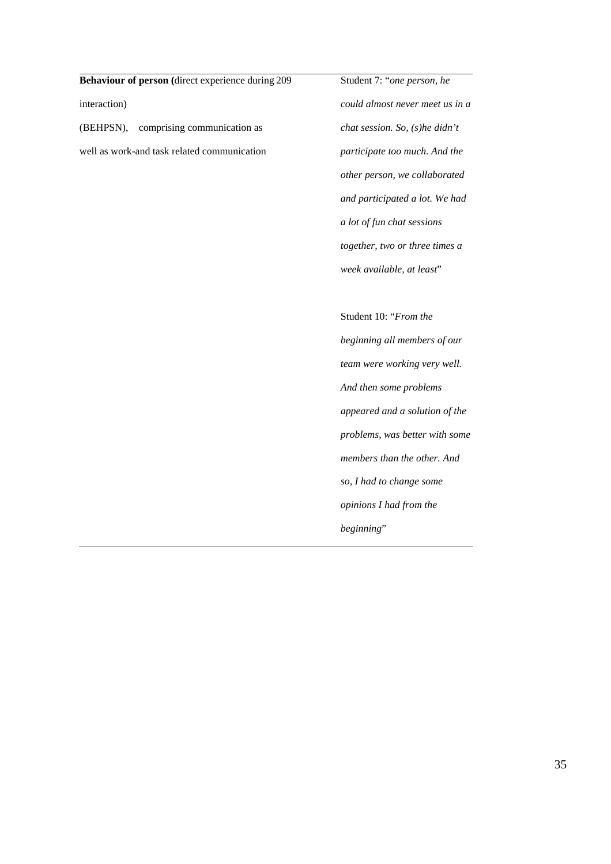| Behaviour of person (direct experience during 209 |  |  |  |
|---------------------------------------------------|--|--|--|
|---------------------------------------------------|--|--|--|

interaction)

(BEHPSN), comprising communication as well as work-and task related communication Student 7: "one person, he *could almost never meet us in a chat session. So, (s)he didn't participate too much. And the other person, we collaborated and participated a lot. We had a lot of fun chat sessions together, two or three times a week available, at least*"

Student 10: "*From the beginning all members of our team were working very well. And then some problems appeared and a solution of the problems, was better with some members than the other. And so, I had to change some opinions I had from the beginning*"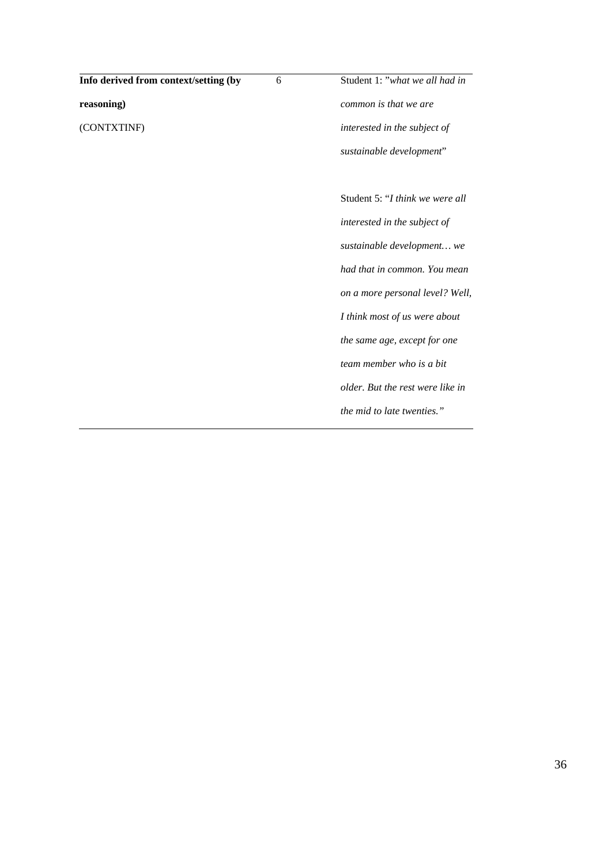| Info derived from context/setting (by | 6 | Student 1: "what we all had in   |
|---------------------------------------|---|----------------------------------|
| reasoning)                            |   | common is that we are            |
| (CONTXTINF)                           |   | interested in the subject of     |
|                                       |   | sustainable development"         |
|                                       |   |                                  |
|                                       |   | Student 5: "I think we were all  |
|                                       |   | interested in the subject of     |
|                                       |   | sustainable development we       |
|                                       |   | had that in common. You mean     |
|                                       |   | on a more personal level? Well,  |
|                                       |   | I think most of us were about    |
|                                       |   | the same age, except for one     |
|                                       |   | team member who is a bit         |
|                                       |   | older. But the rest were like in |
|                                       |   | the mid to late twenties."       |
|                                       |   |                                  |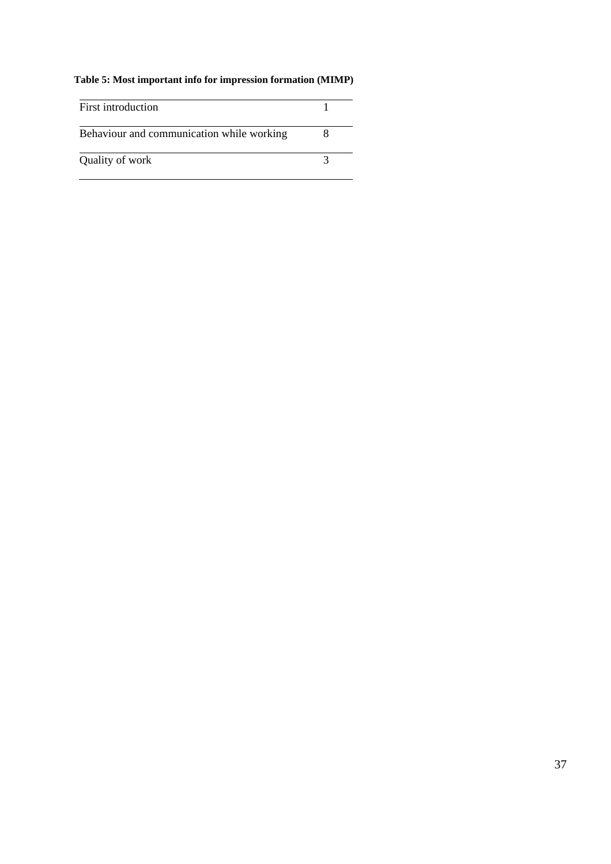# **Table 5: Most important info for impression formation (MIMP)**

| First introduction                        |  |
|-------------------------------------------|--|
| Behaviour and communication while working |  |
| Quality of work                           |  |